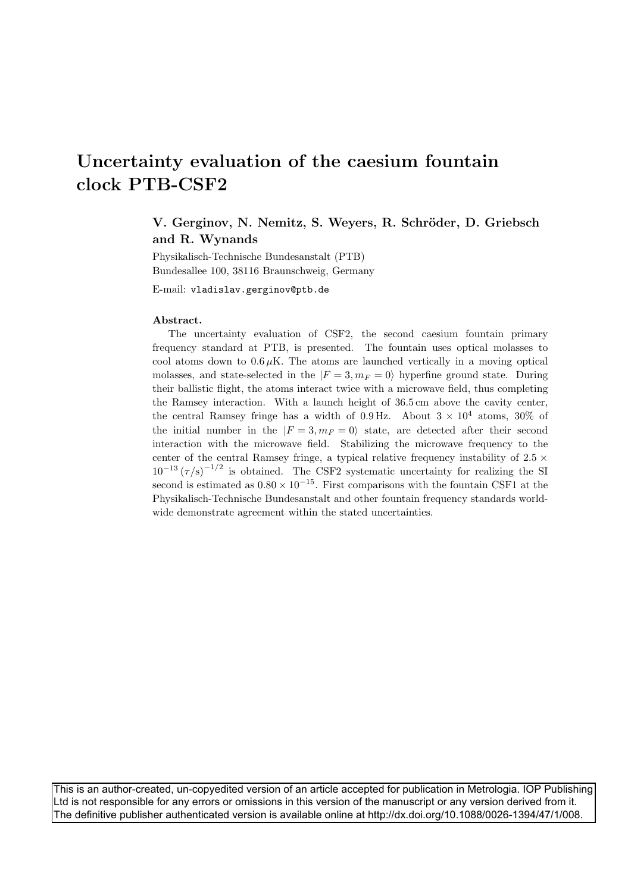# **Uncertainty evaluation of the caesium fountain clock PTB-CSF2**

## **V. Gerginov, N. Nemitz, S. Weyers, R. Schr¨oder, D. Griebsch and R. Wynands**

Physikalisch-Technische Bundesanstalt (PTB) Bundesallee 100, 38116 Braunschweig, Germany

E-mail: vladislav.gerginov@ptb.de

The uncertainty evaluation of CSF2, the second caesium fountain primary frequency standard at PTB, is presented. The fountain uses optical molasses to cool atoms down to  $0.6 \mu K$ . The atoms are launched vertically in a moving optical molasses, and state-selected in the  $|F = 3, m_F = 0\rangle$  hyperfine ground state. During their ballistic flight, the atoms interact twice with a microwave field, thus completing the Ramsey interaction. With a launch height of 36.5 cm above the cavity center, the central Ramsey fringe has a width of 0.9 Hz. About  $3 \times 10^4$  atoms, 30% of the initial number in the  $|F = 3, m_F = 0\rangle$  state, are detected after their second interaction with the microwave field. Stabilizing the microwave frequency to the center of the central Ramsey fringe, a typical relative frequency instability of  $2.5 \times$  $10^{-13} (\tau/s)^{-1/2}$  is obtained. The CSF2 systematic uncertainty for realizing the SI second is estimated as  $0.80 \times 10^{-15}$ . First comparisons with the fountain CSF1 at the Physikalisch-Technische Bundesanstalt and other fountain frequency standards worldwide demonstrate agreement within the stated uncertainties.

This is an author-created, un-copyedited version of an article accepted for publication in Metrologia. IOP Publishing Ltd is not responsible for any errors or omissions in this version of the manuscript or any version derived from it. The definitive publisher authenticated version is available online at http://dx.doi.org/10.1088/0026-1394/47/1/008.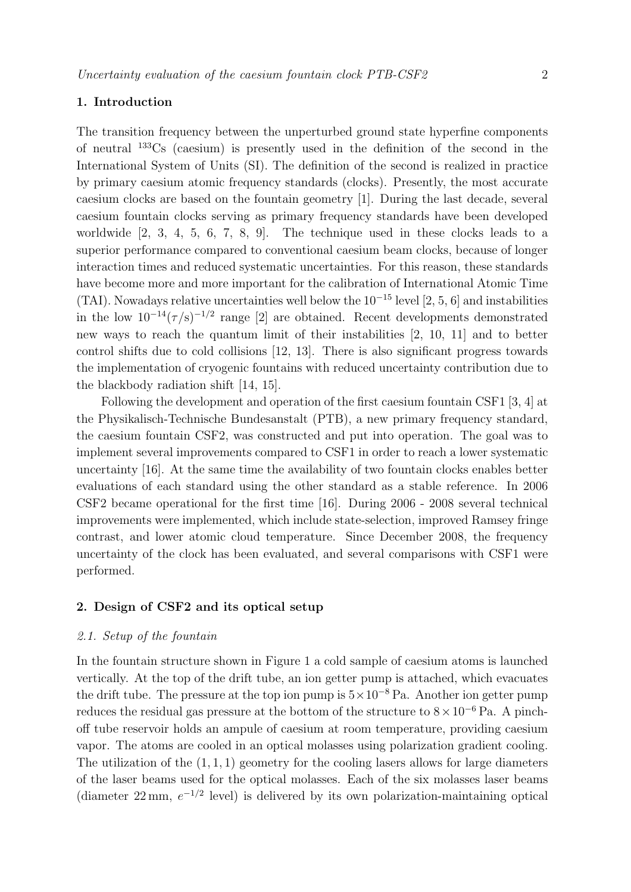The transition frequency between the unperturbed ground state hyperfine components of neutral <sup>133</sup>Cs (caesium) is presently used in the definition of the second in the International System of Units (SI). The definition of the second is realized in practice by primary caesium atomic frequency standards (clocks). Presently, the most accurate caesium clocks are based on the fountain geometry [1]. During the last decade, several caesium fountain clocks serving as primary frequency standards have been developed worldwide [2, 3, 4, 5, 6, 7, 8, 9]. The technique used in these clocks leads to a superior performance compared to conventional caesium beam clocks, because of longer interaction times and reduced systematic uncertainties. For this reason, these standards have become more and more important for the calibration of International Atomic Time (TAI). Nowadays relative uncertainties well below the  $10^{-15}$  level [2, 5, 6] and instabilities in the low  $10^{-14} (\tau/s)^{-1/2}$  range [2] are obtained. Recent developments demonstrated new ways to reach the quantum limit of their instabilities [2, 10, 11] and to better control shifts due to cold collisions [12, 13]. There is also significant progress towards the implementation of cryogenic fountains with reduced uncertainty contribution due to the blackbody radiation shift [14, 15].

Following the development and operation of the first caesium fountain CSF1 [3, 4] at the Physikalisch-Technische Bundesanstalt (PTB), a new primary frequency standard, the caesium fountain CSF2, was constructed and put into operation. The goal was to implement several improvements compared to CSF1 in order to reach a lower systematic uncertainty [16]. At the same time the availability of two fountain clocks enables better evaluations of each standard using the other standard as a stable reference. In 2006 CSF2 became operational for the first time [16]. During 2006 - 2008 several technical improvements were implemented, which include state-selection, improved Ramsey fringe contrast, and lower atomic cloud temperature. Since December 2008, the frequency uncertainty of the clock has been evaluated, and several comparisons with CSF1 were performed.

### **2. Design of CSF2 and its optical setup**

#### 2.1. Setup of the fountain

In the fountain structure shown in Figure 1 a cold sample of caesium atoms is launched vertically. At the top of the drift tube, an ion getter pump is attached, which evacuates the drift tube. The pressure at the top ion pump is  $5 \times 10^{-8}$  Pa. Another ion getter pump reduces the residual gas pressure at the bottom of the structure to  $8 \times 10^{-6}$  Pa. A pinchoff tube reservoir holds an ampule of caesium at room temperature, providing caesium vapor. The atoms are cooled in an optical molasses using polarization gradient cooling. The utilization of the  $(1, 1, 1)$  geometry for the cooling lasers allows for large diameters of the laser beams used for the optical molasses. Each of the six molasses laser beams (diameter 22 mm,  $e^{-1/2}$  level) is delivered by its own polarization-maintaining optical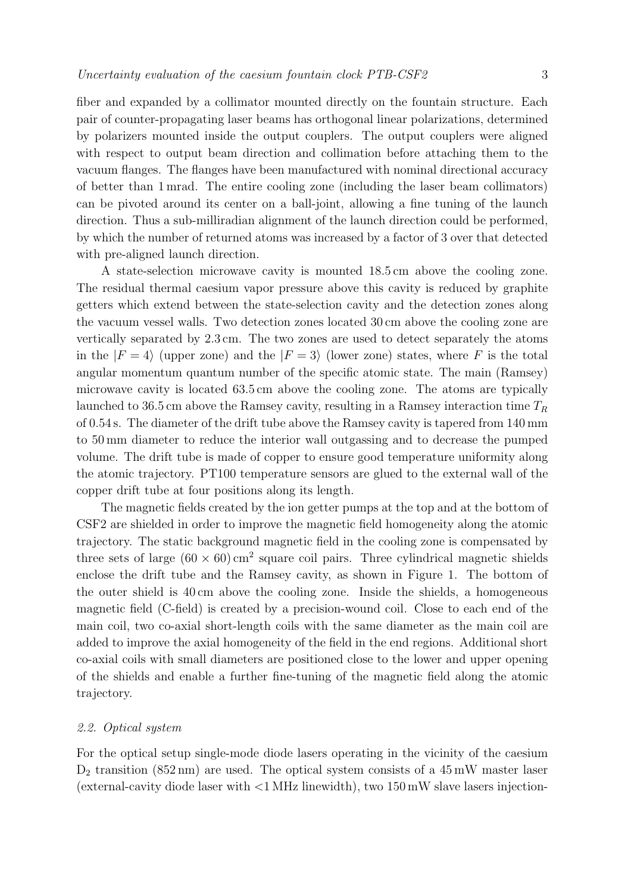fiber and expanded by a collimator mounted directly on the fountain structure. Each pair of counter-propagating laser beams has orthogonal linear polarizations, determined by polarizers mounted inside the output couplers. The output couplers were aligned with respect to output beam direction and collimation before attaching them to the vacuum flanges. The flanges have been manufactured with nominal directional accuracy of better than 1 mrad. The entire cooling zone (including the laser beam collimators) can be pivoted around its center on a ball-joint, allowing a fine tuning of the launch direction. Thus a sub-milliradian alignment of the launch direction could be performed, by which the number of returned atoms was increased by a factor of 3 over that detected with pre-aligned launch direction.

A state-selection microwave cavity is mounted 18.5 cm above the cooling zone. The residual thermal caesium vapor pressure above this cavity is reduced by graphite getters which extend between the state-selection cavity and the detection zones along the vacuum vessel walls. Two detection zones located 30 cm above the cooling zone are vertically separated by 2.3 cm. The two zones are used to detect separately the atoms in the  $|F = 4\rangle$  (upper zone) and the  $|F = 3\rangle$  (lower zone) states, where F is the total<br>engular momentum quantum number of the gracific static. The main (Bernam) angular momentum quantum number of the specific atomic state. The main (Ramsey) microwave cavity is located 63.5 cm above the cooling zone. The atoms are typically launched to 36.5 cm above the Ramsey cavity, resulting in a Ramsey interaction time  $T_R$ of 0.54 s. The diameter of the drift tube above the Ramsey cavity is tapered from 140 mm to 50 mm diameter to reduce the interior wall outgassing and to decrease the pumped volume. The drift tube is made of copper to ensure good temperature uniformity along the atomic trajectory. PT100 temperature sensors are glued to the external wall of the copper drift tube at four positions along its length.

The magnetic fields created by the ion getter pumps at the top and at the bottom of CSF2 are shielded in order to improve the magnetic field homogeneity along the atomic trajectory. The static background magnetic field in the cooling zone is compensated by three sets of large  $(60 \times 60)$  cm<sup>2</sup> square coil pairs. Three cylindrical magnetic shields enclose the drift tube and the Ramsey cavity, as shown in Figure 1. The bottom of the outer shield is 40 cm above the cooling zone. Inside the shields, a homogeneous magnetic field (C-field) is created by a precision-wound coil. Close to each end of the main coil, two co-axial short-length coils with the same diameter as the main coil are added to improve the axial homogeneity of the field in the end regions. Additional short co-axial coils with small diameters are positioned close to the lower and upper opening of the shields and enable a further fine-tuning of the magnetic field along the atomic trajectory.

#### 2.2. Optical system

For the optical setup single-mode diode lasers operating in the vicinity of the caesium  $D_2$  transition (852 nm) are used. The optical system consists of a 45 mW master laser (external-cavity diode laser with  $\langle 1 \text{ MHz}$  linewidth), two  $150 \text{ mW}$  slave lasers injection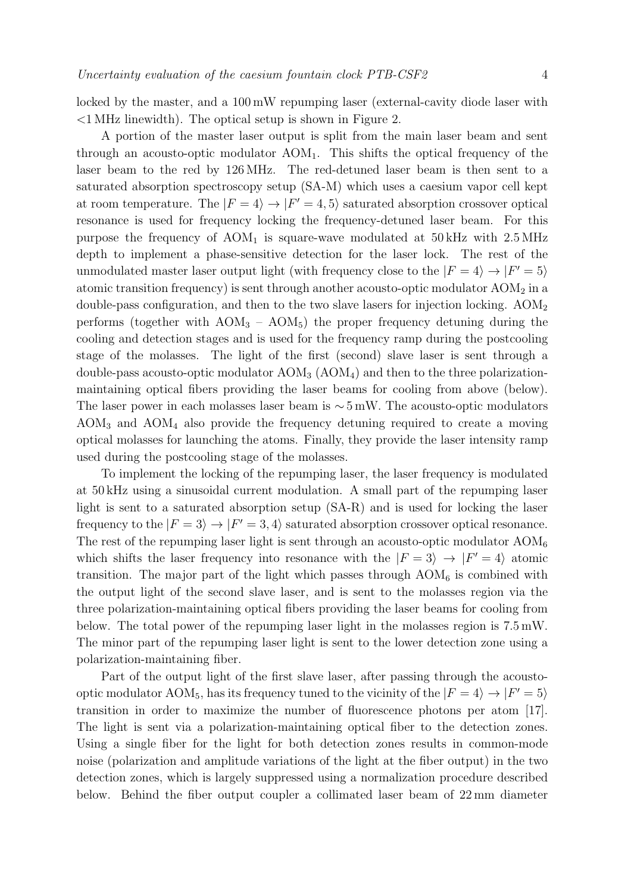locked by the master, and a 100 mW repumping laser (external-cavity diode laser with <1 MHz linewidth). The optical setup is shown in Figure 2.

A portion of the master laser output is split from the main laser beam and sent through an acousto-optic modulator  $AOM_1$ . This shifts the optical frequency of the laser beam to the red by 126 MHz. The red-detuned laser beam is then sent to a saturated absorption spectroscopy setup (SA-M) which uses a caesium vapor cell kept at room temperature. The  $|F = 4\rangle \rightarrow |F' = 4, 5\rangle$  saturated absorption crossover optical<br>recononce is used for frequency logiting the frequency detuned legar beam. For this resonance is used for frequency locking the frequency-detuned laser beam. For this purpose the frequency of  $AOM<sub>1</sub>$  is square-wave modulated at  $50 \text{ kHz}$  with  $2.5 \text{ MHz}$ depth to implement a phase-sensitive detection for the laser lock. The rest of the unmodulated master laser output light (with frequency close to the  $|F = 4\rangle \rightarrow |F' = 5\rangle$ <br>atomic transition frequency) is gant through another acquire ontia magnulator AOM, in a atomic transition frequency) is sent through another acousto-optic modulator  $AOM<sub>2</sub>$  in a double-pass configuration, and then to the two slave lasers for injection locking. AOM<sub>2</sub> performs (together with  $AOM_3 - AOM_5$ ) the proper frequency detuning during the cooling and detection stages and is used for the frequency ramp during the postcooling stage of the molasses. The light of the first (second) slave laser is sent through a double-pass acousto-optic modulator  $AOM<sub>3</sub>$  ( $AOM<sub>4</sub>$ ) and then to the three polarizationmaintaining optical fibers providing the laser beams for cooling from above (below). The laser power in each molasses laser beam is  $\sim 5 \,\text{mW}$ . The acousto-optic modulators  $AOM<sub>3</sub>$  and  $AOM<sub>4</sub>$  also provide the frequency detuning required to create a moving optical molasses for launching the atoms. Finally, they provide the laser intensity ramp used during the postcooling stage of the molasses.

To implement the locking of the repumping laser, the laser frequency is modulated at 50 kHz using a sinusoidal current modulation. A small part of the repumping laser light is sent to a saturated absorption setup (SA-R) and is used for locking the laser frequency to the  $|F = 3\rangle \rightarrow |F' = 3, 4\rangle$  saturated absorption crossover optical resonance.<br>The rest of the representing legal light is sent through an equate optic modulator AOM. The rest of the repumping laser light is sent through an acousto-optic modulator  $AOM_6$ which shifts the laser frequency into resonance with the  $|F = 3\rangle \rightarrow |F' = 4\rangle$  atomic<br>transition. The major part of the light which passes through AOM is combined with transition. The major part of the light which passes through  $AOM_6$  is combined with the output light of the second slave laser, and is sent to the molasses region via the three polarization-maintaining optical fibers providing the laser beams for cooling from below. The total power of the repumping laser light in the molasses region is 7.5 mW. The minor part of the repumping laser light is sent to the lower detection zone using a polarization-maintaining fiber.

Part of the output light of the first slave laser, after passing through the acoustooptic modulator AOM<sub>5</sub>, has its frequency tuned to the vicinity of the  $|F = 4\rangle \rightarrow |F' = 5\rangle$ <br>transition in order to maximize the number of fluorescence photons non stem. [17] transition in order to maximize the number of fluorescence photons per atom [17]. The light is sent via a polarization-maintaining optical fiber to the detection zones. Using a single fiber for the light for both detection zones results in common-mode noise (polarization and amplitude variations of the light at the fiber output) in the two detection zones, which is largely suppressed using a normalization procedure described below. Behind the fiber output coupler a collimated laser beam of 22 mm diameter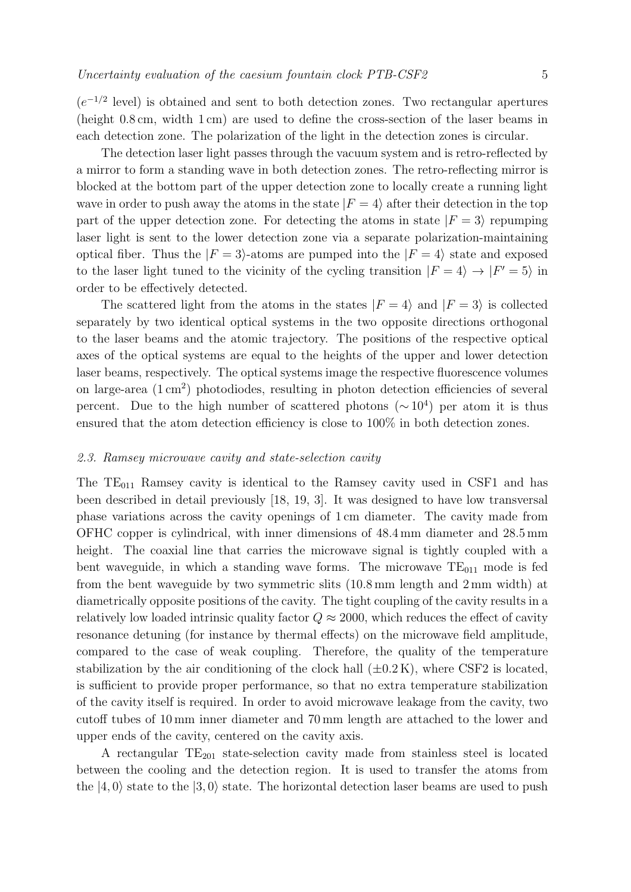$(e^{-1/2} \text{ level})$  is obtained and sent to both detection zones. Two rectangular apertures (height 0.8 cm, width 1 cm) are used to define the cross-section of the laser beams in each detection zone. The polarization of the light in the detection zones is circular.

The detection laser light passes through the vacuum system and is retro-reflected by a mirror to form a standing wave in both detection zones. The retro-reflecting mirror is blocked at the bottom part of the upper detection zone to locally create a running light wave in order to push away the atoms in the state  $|F = 4\rangle$  after their detection in the top<br>part of the unper detection zone. For detecting the atoms in state  $|F = 2\rangle$  repursing part of the upper detection zone. For detecting the atoms in state  $|F = 3\rangle$  repumping<br>less light is sent to the lewer detection zone via a separate polarization maintaining laser light is sent to the lower detection zone via a separate polarization-maintaining optical fiber. Thus the  $|F = 3\rangle$ -atoms are pumped into the  $|F = 4\rangle$  state and exposed<br>to the less light tuned to the visibility of the evoling transition  $|F = 4\rangle \rightarrow |F' = 5\rangle$  in to the laser light tuned to the vicinity of the cycling transition  $|F = 4\rangle \rightarrow |F' = 5\rangle$  in order to be effectively detected.

The scattered light from the atoms in the states  $|F = 4\rangle$  and  $|F = 3\rangle$  is collected separately by two identical optical systems in the two opposite directions orthogonal to the laser beams and the atomic trajectory. The positions of the respective optical axes of the optical systems are equal to the heights of the upper and lower detection laser beams, respectively. The optical systems image the respective fluorescence volumes on large-area  $(1 \text{ cm}^2)$  photodiodes, resulting in photon detection efficiencies of several percent. Due to the high number of scattered photons ( $\sim 10^4$ ) per atom it is thus ensured that the atom detection efficiency is close to 100% in both detection zones.

#### 2.3. Ramsey microwave cavity and state-selection cavity

The  $TE_{011}$  Ramsey cavity is identical to the Ramsey cavity used in CSF1 and has been described in detail previously [18, 19, 3]. It was designed to have low transversal phase variations across the cavity openings of 1 cm diameter. The cavity made from OFHC copper is cylindrical, with inner dimensions of 48.4 mm diameter and 28.5 mm height. The coaxial line that carries the microwave signal is tightly coupled with a bent waveguide, in which a standing wave forms. The microwave  $TE_{011}$  mode is fed from the bent waveguide by two symmetric slits (10.8 mm length and 2 mm width) at diametrically opposite positions of the cavity. The tight coupling of the cavity results in a relatively low loaded intrinsic quality factor  $Q \approx 2000$ , which reduces the effect of cavity resonance detuning (for instance by thermal effects) on the microwave field amplitude, compared to the case of weak coupling. Therefore, the quality of the temperature stabilization by the air conditioning of the clock hall  $(\pm 0.2 \text{ K})$ , where CSF2 is located, is sufficient to provide proper performance, so that no extra temperature stabilization of the cavity itself is required. In order to avoid microwave leakage from the cavity, two cutoff tubes of 10 mm inner diameter and 70 mm length are attached to the lower and upper ends of the cavity, centered on the cavity axis.

A rectangular  $TE_{201}$  state-selection cavity made from stainless steel is located between the cooling and the detection region. It is used to transfer the atoms from the  $|4,0\rangle$  state to the  $|3,0\rangle$  state. The horizontal detection laser beams are used to push  $|4,0\rangle$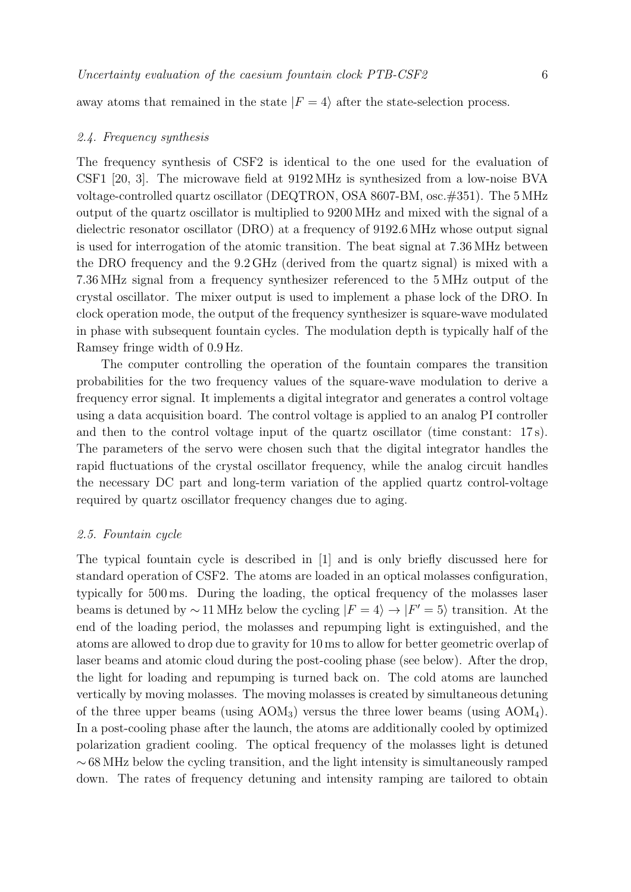away atoms that remained in the state  $|F = 4\rangle$  after the state-selection process.

#### 2.4. Frequency synthesis

The frequency synthesis of CSF2 is identical to the one used for the evaluation of CSF1 [20, 3]. The microwave field at 9192 MHz is synthesized from a low-noise BVA voltage-controlled quartz oscillator (DEQTRON, OSA 8607-BM, osc.#351). The 5 MHz output of the quartz oscillator is multiplied to 9200 MHz and mixed with the signal of a dielectric resonator oscillator (DRO) at a frequency of 9192.6 MHz whose output signal is used for interrogation of the atomic transition. The beat signal at 7.36 MHz between the DRO frequency and the 9.2 GHz (derived from the quartz signal) is mixed with a 7.36 MHz signal from a frequency synthesizer referenced to the 5 MHz output of the crystal oscillator. The mixer output is used to implement a phase lock of the DRO. In clock operation mode, the output of the frequency synthesizer is square-wave modulated in phase with subsequent fountain cycles. The modulation depth is typically half of the Ramsey fringe width of 0.9 Hz.

The computer controlling the operation of the fountain compares the transition probabilities for the two frequency values of the square-wave modulation to derive a frequency error signal. It implements a digital integrator and generates a control voltage using a data acquisition board. The control voltage is applied to an analog PI controller and then to the control voltage input of the quartz oscillator (time constant: 17 s). The parameters of the servo were chosen such that the digital integrator handles the rapid fluctuations of the crystal oscillator frequency, while the analog circuit handles the necessary DC part and long-term variation of the applied quartz control-voltage required by quartz oscillator frequency changes due to aging.

#### 2.5. Fountain cycle

The typical fountain cycle is described in [1] and is only briefly discussed here for standard operation of CSF2. The atoms are loaded in an optical molasses configuration, typically for 500 ms. During the loading, the optical frequency of the molasses laser beams is detuned by ~11 MHz below the cycling  $|F = 4\rangle \rightarrow |F' = 5\rangle$  transition. At the code of the loading period, the melasses and repurping light is extinguished, and the end of the loading period, the molasses and repumping light is extinguished, and the atoms are allowed to drop due to gravity for 10 ms to allow for better geometric overlap of laser beams and atomic cloud during the post-cooling phase (see below). After the drop, the light for loading and repumping is turned back on. The cold atoms are launched vertically by moving molasses. The moving molasses is created by simultaneous detuning of the three upper beams (using  $AOM_3$ ) versus the three lower beams (using  $AOM_4$ ). In a post-cooling phase after the launch, the atoms are additionally cooled by optimized polarization gradient cooling. The optical frequency of the molasses light is detuned  $~\sim$  68 MHz below the cycling transition, and the light intensity is simultaneously ramped down. The rates of frequency detuning and intensity ramping are tailored to obtain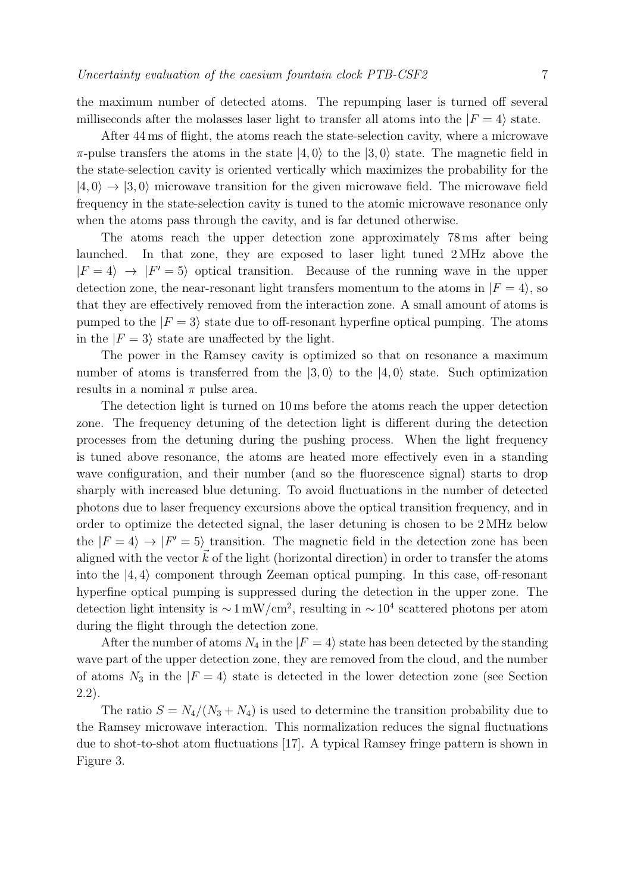the maximum number of detected atoms. The repumping laser is turned off several milliseconds after the molasses laser light to transfer all atoms into the  $|F = 4\rangle$  state.

After 44 ms of flight, the atoms reach the state-selection cavity, where a microwave  $\pi$ -pulse transfers the atoms in the state  $|4, 0\rangle$  to the  $|3, 0\rangle$  state. The magnetic field in<br>the state selection equity is existed vertically which may imizes the probability for the the state-selection cavity is oriented vertically which maximizes the probability for the  $|4,0\rangle \rightarrow |3,0\rangle$  microwave transition for the given microwave field. The microwave field<br>frequency in the state selection equity is tuned to the atomic microwave recononce only frequency in the state-selection cavity is tuned to the atomic microwave resonance only when the atoms pass through the cavity, and is far detuned otherwise.

The atoms reach the upper detection zone approximately 78 ms after being launched. In that zone, they are exposed to laser light tuned 2 MHz above the  $|F = 4\rangle \rightarrow |F' = 5\rangle$  optical transition. Because of the running wave in the upper<br>detection zone the near reconcent light transfers momentum to the stems in  $|F - 4\rangle$  as detection zone, the near-resonant light transfers momentum to the atoms in  $|F = 4\rangle$ , so<br>that they are effectively remayed from the interestion zone. A small emount of atoms is that they are effectively removed from the interaction zone. A small amount of atoms is pumped to the  $|F = 3\rangle$  state due to off-resonant hyperfine optical pumping. The atoms<br>in the  $|F = 3\rangle$  state are uneffected by the light. in the  $|F = 3\rangle$  state are unaffected by the light.<br>The names in the Barneau essity is action

The power in the Ramsey cavity is optimized so that on resonance a maximum number of atoms is transferred from the  $|3,0\rangle$  to the  $|4,0\rangle$  state. Such optimization<br>results in a nominal  $\pi$  pulse area results in a nominal  $\pi$  pulse area.

The detection light is turned on 10 ms before the atoms reach the upper detection zone. The frequency detuning of the detection light is different during the detection processes from the detuning during the pushing process. When the light frequency is tuned above resonance, the atoms are heated more effectively even in a standing wave configuration, and their number (and so the fluorescence signal) starts to drop sharply with increased blue detuning. To avoid fluctuations in the number of detected photons due to laser frequency excursions above the optical transition frequency, and in order to optimize the detected signal, the laser detuning is chosen to be 2 MHz below the  $|F = 4\rangle \rightarrow |F' = 5\rangle$  transition. The magnetic field in the detection zone has been<br>cliented with the vector  $\vec{k}$  of the light (horizontal direction) in order to transfer the atoms aligned with the vector  $k$  of the light (horizontal direction) in order to transfer the atoms<br>into the [4,4] component through Zeeman optical numbers. In this case, off recepant into the  $|4,4\rangle$  component through Zeeman optical pumping. In this case, off-resonant<br>hyperfine entirel numping is suppressed during the detection in the upper sense. The hyperfine optical pumping is suppressed during the detection in the upper zone. The detection light intensity is  $\sim 1 \text{ mW/cm}^2$ , resulting in  $\sim 10^4$  scattered photons per atom during the flight through the detection zone.

After the number of atoms  $N_4$  in the  $|F = 4\rangle$  state has been detected by the standing<br>the unit of the unper detection zone, they are removed from the cloud, and the number wave part of the upper detection zone, they are removed from the cloud, and the number of atoms  $N_3$  in the  $|F = 4\rangle$  state is detected in the lower detection zone (see Section 2.2).

The ratio  $S = N_4/(N_3 + N_4)$  is used to determine the transition probability due to the Ramsey microwave interaction. This normalization reduces the signal fluctuations due to shot-to-shot atom fluctuations [17]. A typical Ramsey fringe pattern is shown in Figure 3.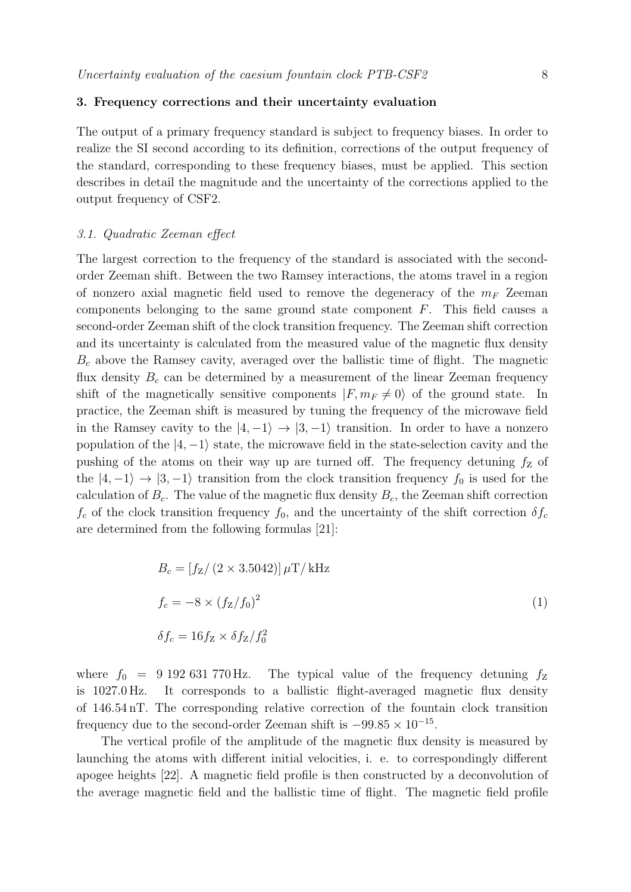#### **3. Frequency corrections and their uncertainty evaluation**

The output of a primary frequency standard is subject to frequency biases. In order to realize the SI second according to its definition, corrections of the output frequency of the standard, corresponding to these frequency biases, must be applied. This section describes in detail the magnitude and the uncertainty of the corrections applied to the output frequency of CSF2.

#### 3.1. Quadratic Zeeman effect

The largest correction to the frequency of the standard is associated with the secondorder Zeeman shift. Between the two Ramsey interactions, the atoms travel in a region of nonzero axial magnetic field used to remove the degeneracy of the  $m_F$  Zeeman components belonging to the same ground state component F. This field causes a second-order Zeeman shift of the clock transition frequency. The Zeeman shift correction and its uncertainty is calculated from the measured value of the magnetic flux density  $B<sub>c</sub>$  above the Ramsey cavity, averaged over the ballistic time of flight. The magnetic flux density  $B_c$  can be determined by a measurement of the linear Zeeman frequency shift of the magnetically sensitive components  $|F, m_F \neq 0\rangle$  of the ground state. In precise, the Zeeman shift is magginged by tuning the frequency of the misroryne field practice, the Zeeman shift is measured by tuning the frequency of the microwave field in the Ramsey cavity to the  $|4,-1\rangle \rightarrow |3,-1\rangle$  transition. In order to have a nonzero non-<br>non-vertice of the  $|4,-1\rangle$  state the misroweve field in the state selection equity and the population of the  $|4, -1\rangle$  state, the microwave field in the state-selection cavity and the previous of the state selection cavity and the pushing of the atoms on their way up are turned off. The frequency detuning  $f<sub>Z</sub>$  of the  $|4,-1\rangle \rightarrow |3,-1\rangle$  transition from the clock transition frequency  $f_0$  is used for the constant contained  $R$ . The value of the magnetic flux density  $R$ , the Zeeman shift connection calculation of  $B_c$ . The value of the magnetic flux density  $B_c$ , the Zeeman shift correction  $f_c$  of the clock transition frequency  $f_0$ , and the uncertainty of the shift correction  $\delta f_c$ are determined from the following formulas [21]:

$$
B_c = [f_Z/(2 \times 3.5042)] \,\mu\text{T/kHz}
$$
  
\n
$$
f_c = -8 \times (f_Z/f_0)^2
$$
  
\n
$$
\delta f_c = 16 f_Z \times \delta f_Z/f_0^2
$$
\n(1)

where  $f_0 = 9192631770 \text{ Hz}$ . The typical value of the frequency detuning  $f_Z$  is 1027.0 Hz. It corresponds to a ballistic flight-averaged magnetic flux density It corresponds to a ballistic flight-averaged magnetic flux density of 146.54 nT. The corresponding relative correction of the fountain clock transition frequency due to the second-order Zeeman shift is  $-99.85 \times 10^{-15}$ .

The vertical profile of the amplitude of the magnetic flux density is measured by launching the atoms with different initial velocities, i. e. to correspondingly different apogee heights [22]. A magnetic field profile is then constructed by a deconvolution of the average magnetic field and the ballistic time of flight. The magnetic field profile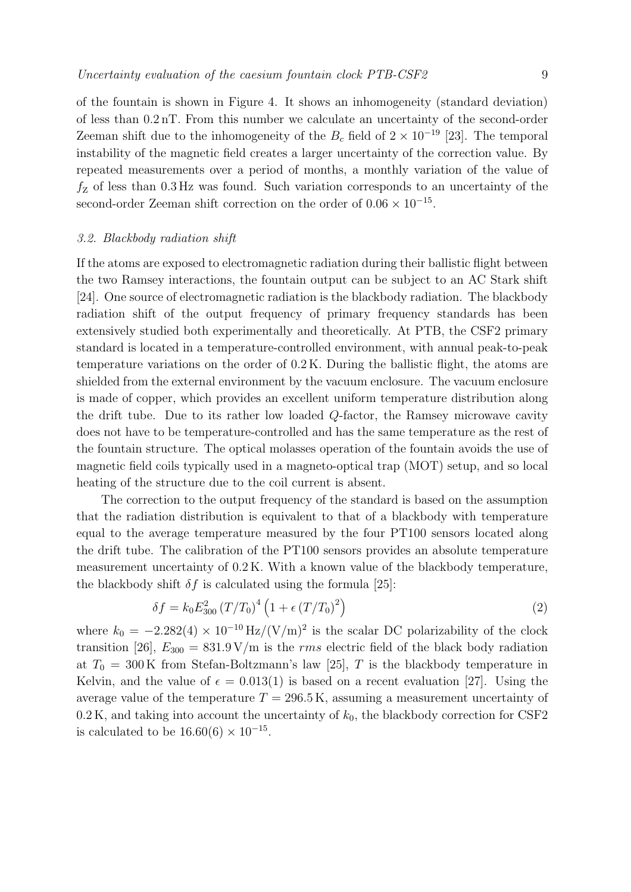of the fountain is shown in Figure 4. It shows an inhomogeneity (standard deviation) of less than 0.2 nT. From this number we calculate an uncertainty of the second-order Zeeman shift due to the inhomogeneity of the  $B_c$  field of  $2 \times 10^{-19}$  [23]. The temporal instability of the magnetic field creates a larger uncertainty of the correction value. By repeated measurements over a period of months, a monthly variation of the value of  $f<sub>Z</sub>$  of less than 0.3 Hz was found. Such variation corresponds to an uncertainty of the second-order Zeeman shift correction on the order of  $0.06 \times 10^{-15}$ .

#### 3.2. Blackbody radiation shift

If the atoms are exposed to electromagnetic radiation during their ballistic flight between the two Ramsey interactions, the fountain output can be subject to an AC Stark shift [24]. One source of electromagnetic radiation is the blackbody radiation. The blackbody radiation shift of the output frequency of primary frequency standards has been extensively studied both experimentally and theoretically. At PTB, the CSF2 primary standard is located in a temperature-controlled environment, with annual peak-to-peak temperature variations on the order of 0.2 K. During the ballistic flight, the atoms are shielded from the external environment by the vacuum enclosure. The vacuum enclosure is made of copper, which provides an excellent uniform temperature distribution along the drift tube. Due to its rather low loaded Q-factor, the Ramsey microwave cavity does not have to be temperature-controlled and has the same temperature as the rest of the fountain structure. The optical molasses operation of the fountain avoids the use of magnetic field coils typically used in a magneto-optical trap (MOT) setup, and so local heating of the structure due to the coil current is absent.

The correction to the output frequency of the standard is based on the assumption that the radiation distribution is equivalent to that of a blackbody with temperature equal to the average temperature measured by the four PT100 sensors located along the drift tube. The calibration of the PT100 sensors provides an absolute temperature measurement uncertainty of 0.2 K. With a known value of the blackbody temperature, the blackbody shift  $\delta f$  is calculated using the formula [25]:

$$
\delta f = k_0 E_{300}^2 (T/T_0)^4 \left(1 + \epsilon (T/T_0)^2\right) \tag{2}
$$

where  $k_0 = -2.282(4) \times 10^{-10} \text{ Hz}/(\text{V/m})^2$  is the scalar DC polarizability of the clock<br>transition [26]  $F = 821.0$  V/m is the rma electric field of the black hady rediction transition [26],  $E_{300} = 831.9 \text{ V/m}$  is the *rms* electric field of the black body radiation at  $T_0 = 300 \,\mathrm{K}$  from Stefan-Boltzmann's law [25], T is the blackbody temperature in Kelvin, and the value of  $\epsilon = 0.013(1)$  is based on a recent evaluation [27]. Using the average value of the temperature  $T = 296.5 \text{ K}$ , assuming a measurement uncertainty of  $0.2 K$ , and taking into account the uncertainty of  $k_0$ , the blackbody correction for CSF2 is calculated to be  $16.60(6) \times 10^{-15}$ .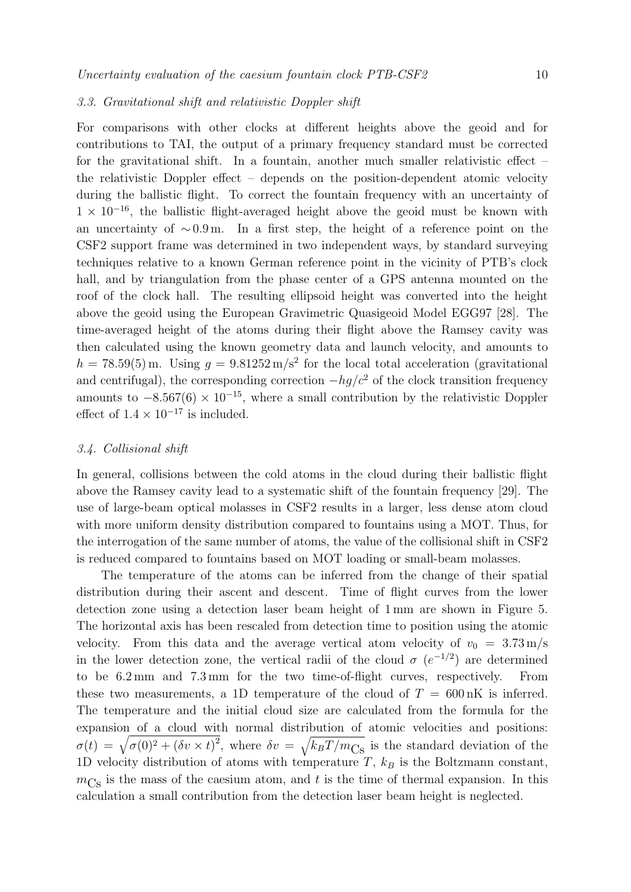#### 3.3. Gravitational shift and relativistic Doppler shift

For comparisons with other clocks at different heights above the geoid and for contributions to TAI, the output of a primary frequency standard must be corrected for the gravitational shift. In a fountain, another much smaller relativistic effect – the relativistic Doppler effect – depends on the position-dependent atomic velocity during the ballistic flight. To correct the fountain frequency with an uncertainty of  $1 \times 10^{-16}$ , the ballistic flight-averaged height above the geoid must be known with an uncertainty of ∼ 0.9 m. In a first step, the height of a reference point on the CSF2 support frame was determined in two independent ways, by standard surveying techniques relative to a known German reference point in the vicinity of PTB's clock hall, and by triangulation from the phase center of a GPS antenna mounted on the roof of the clock hall. The resulting ellipsoid height was converted into the height above the geoid using the European Gravimetric Quasigeoid Model EGG97 [28]. The time-averaged height of the atoms during their flight above the Ramsey cavity was then calculated using the known geometry data and launch velocity, and amounts to  $h = 78.59(5)$  m. Using  $g = 9.81252 \text{ m/s}^2$  for the local total acceleration (gravitational and centrifugal), the corresponding correction  $-hq/c^2$  of the clock transition frequency amounts to  $-8.567(6) \times 10^{-15}$ , where a small contribution by the relativistic Doppler effect of  $1.4 \times 10^{-17}$  is included.

#### 3.4. Collisional shift

In general, collisions between the cold atoms in the cloud during their ballistic flight above the Ramsey cavity lead to a systematic shift of the fountain frequency [29]. The use of large-beam optical molasses in CSF2 results in a larger, less dense atom cloud with more uniform density distribution compared to fountains using a MOT. Thus, for the interrogation of the same number of atoms, the value of the collisional shift in CSF2 is reduced compared to fountains based on MOT loading or small-beam molasses.

The temperature of the atoms can be inferred from the change of their spatial distribution during their ascent and descent. Time of flight curves from the lower detection zone using a detection laser beam height of 1 mm are shown in Figure 5. The horizontal axis has been rescaled from detection time to position using the atomic velocity. From this data and the average vertical atom velocity of  $v_0 = 3.73 \text{ m/s}$ in the lower detection zone, the vertical radii of the cloud  $\sigma$  ( $e^{-1/2}$ ) are determined<br>to be 6.2 mm and 7.3 mm for the two time-of-flight curves, respectively. From to be  $6.2 \,\mathrm{mm}$  and  $7.3 \,\mathrm{mm}$  for the two time-of-flight curves, respectively. these two measurements, a 1D temperature of the cloud of  $T = 600 \text{ nK}$  is inferred. The temperature and the initial cloud size are calculated from the formula for the expansion of a cloud with normal distribution of atomic velocities and positions:  $\sigma(t) = \sqrt{\sigma(0)^2 + (\delta v \times t)^2}$ , where  $\delta v = \sqrt{k_B T/m_{\text{Cs}}}$  is the standard deviation of the 1D velocity distribution of atoms with temperature  $T$ ,  $k_B$  is the Boltzmann constant,  $m<sub>Cs</sub>$  is the mass of the caesium atom, and t is the time of thermal expansion. In this calculation a small contribution from the detection laser beam height is neglected.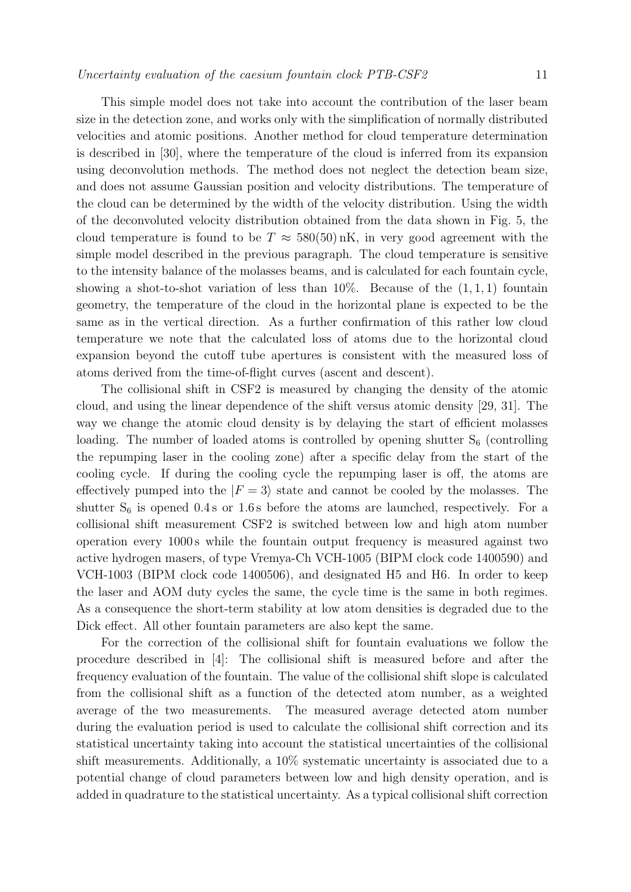This simple model does not take into account the contribution of the laser beam size in the detection zone, and works only with the simplification of normally distributed velocities and atomic positions. Another method for cloud temperature determination is described in [30], where the temperature of the cloud is inferred from its expansion using deconvolution methods. The method does not neglect the detection beam size, and does not assume Gaussian position and velocity distributions. The temperature of the cloud can be determined by the width of the velocity distribution. Using the width of the deconvoluted velocity distribution obtained from the data shown in Fig. 5, the cloud temperature is found to be  $T \approx 580(50)$  nK, in very good agreement with the simple model described in the previous paragraph. The cloud temperature is sensitive to the intensity balance of the molasses beams, and is calculated for each fountain cycle, showing a shot-to-shot variation of less than  $10\%$ . Because of the  $(1, 1, 1)$  fountain geometry, the temperature of the cloud in the horizontal plane is expected to be the same as in the vertical direction. As a further confirmation of this rather low cloud temperature we note that the calculated loss of atoms due to the horizontal cloud expansion beyond the cutoff tube apertures is consistent with the measured loss of atoms derived from the time-of-flight curves (ascent and descent).

The collisional shift in CSF2 is measured by changing the density of the atomic cloud, and using the linear dependence of the shift versus atomic density [29, 31]. The way we change the atomic cloud density is by delaying the start of efficient molasses loading. The number of loaded atoms is controlled by opening shutter  $S_6$  (controlling the repumping laser in the cooling zone) after a specific delay from the start of the cooling cycle. If during the cooling cycle the repumping laser is off, the atoms are effectively pumped into the  $|F = 3\rangle$  state and cannot be cooled by the molasses. The shutter S, is enough 0.4.5 or 1.6.5 before the stame are launched respectively. For a shutter  $S_6$  is opened 0.4 s or 1.6 s before the atoms are launched, respectively. For a collisional shift measurement CSF2 is switched between low and high atom number operation every 1000 s while the fountain output frequency is measured against two active hydrogen masers, of type Vremya-Ch VCH-1005 (BIPM clock code 1400590) and VCH-1003 (BIPM clock code 1400506), and designated H5 and H6. In order to keep the laser and AOM duty cycles the same, the cycle time is the same in both regimes. As a consequence the short-term stability at low atom densities is degraded due to the Dick effect. All other fountain parameters are also kept the same.

For the correction of the collisional shift for fountain evaluations we follow the procedure described in [4]: The collisional shift is measured before and after the frequency evaluation of the fountain. The value of the collisional shift slope is calculated from the collisional shift as a function of the detected atom number, as a weighted average of the two measurements. The measured average detected atom number during the evaluation period is used to calculate the collisional shift correction and its statistical uncertainty taking into account the statistical uncertainties of the collisional shift measurements. Additionally, a 10% systematic uncertainty is associated due to a potential change of cloud parameters between low and high density operation, and is added in quadrature to the statistical uncertainty. As a typical collisional shift correction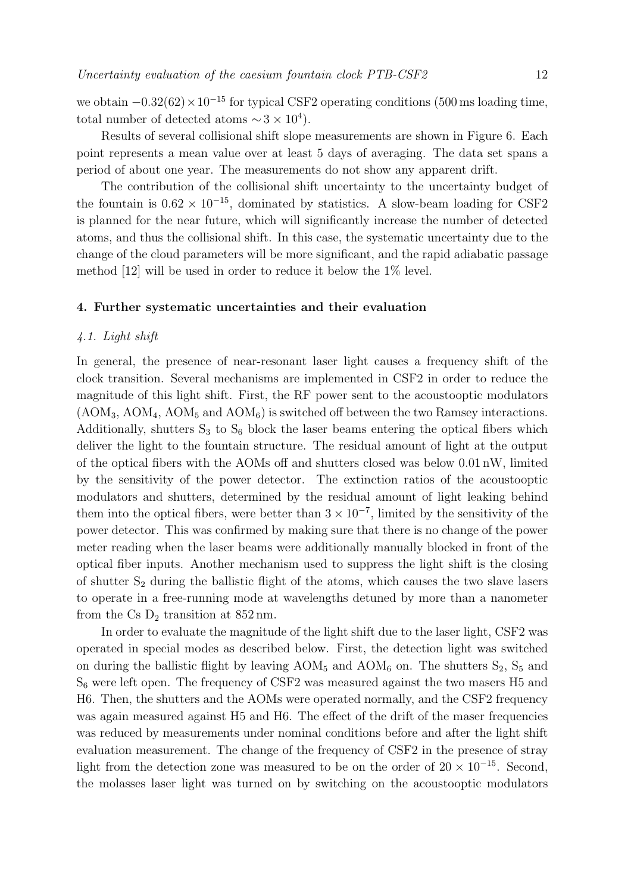we obtain  $-0.32(62) \times 10^{-15}$  for typical CSF2 operating conditions (500 ms loading time, total number of detected atoms  $\sim$  3 × 10<sup>4</sup>).

Results of several collisional shift slope measurements are shown in Figure 6. Each point represents a mean value over at least 5 days of averaging. The data set spans a period of about one year. The measurements do not show any apparent drift.

The contribution of the collisional shift uncertainty to the uncertainty budget of the fountain is  $0.62 \times 10^{-15}$ , dominated by statistics. A slow-beam loading for CSF2 is planned for the near future, which will significantly increase the number of detected atoms, and thus the collisional shift. In this case, the systematic uncertainty due to the change of the cloud parameters will be more significant, and the rapid adiabatic passage method [12] will be used in order to reduce it below the 1% level.

#### **4. Further systematic uncertainties and their evaluation**

#### 4.1. Light shift

In general, the presence of near-resonant laser light causes a frequency shift of the clock transition. Several mechanisms are implemented in CSF2 in order to reduce the magnitude of this light shift. First, the RF power sent to the acoustooptic modulators  $(AOM<sub>3</sub>, AOM<sub>4</sub>, AOM<sub>5</sub> and AOM<sub>6</sub>)$  is switched off between the two Ramsey interactions. Additionally, shutters  $S_3$  to  $S_6$  block the laser beams entering the optical fibers which deliver the light to the fountain structure. The residual amount of light at the output of the optical fibers with the AOMs off and shutters closed was below 0.01 nW, limited by the sensitivity of the power detector. The extinction ratios of the acoustooptic modulators and shutters, determined by the residual amount of light leaking behind them into the optical fibers, were better than  $3 \times 10^{-7}$ , limited by the sensitivity of the power detector. This was confirmed by making sure that there is no change of the power meter reading when the laser beams were additionally manually blocked in front of the optical fiber inputs. Another mechanism used to suppress the light shift is the closing of shutter  $S_2$  during the ballistic flight of the atoms, which causes the two slave lasers to operate in a free-running mode at wavelengths detuned by more than a nanometer from the Cs  $D_2$  transition at 852 nm.

In order to evaluate the magnitude of the light shift due to the laser light, CSF2 was operated in special modes as described below. First, the detection light was switched on during the ballistic flight by leaving  $AOM_5$  and  $AOM_6$  on. The shutters  $S_2$ ,  $S_5$  and S<sup>6</sup> were left open. The frequency of CSF2 was measured against the two masers H5 and H6. Then, the shutters and the AOMs were operated normally, and the CSF2 frequency was again measured against H5 and H6. The effect of the drift of the maser frequencies was reduced by measurements under nominal conditions before and after the light shift evaluation measurement. The change of the frequency of CSF2 in the presence of stray light from the detection zone was measured to be on the order of  $20 \times 10^{-15}$ . Second, the molasses laser light was turned on by switching on the acoustooptic modulators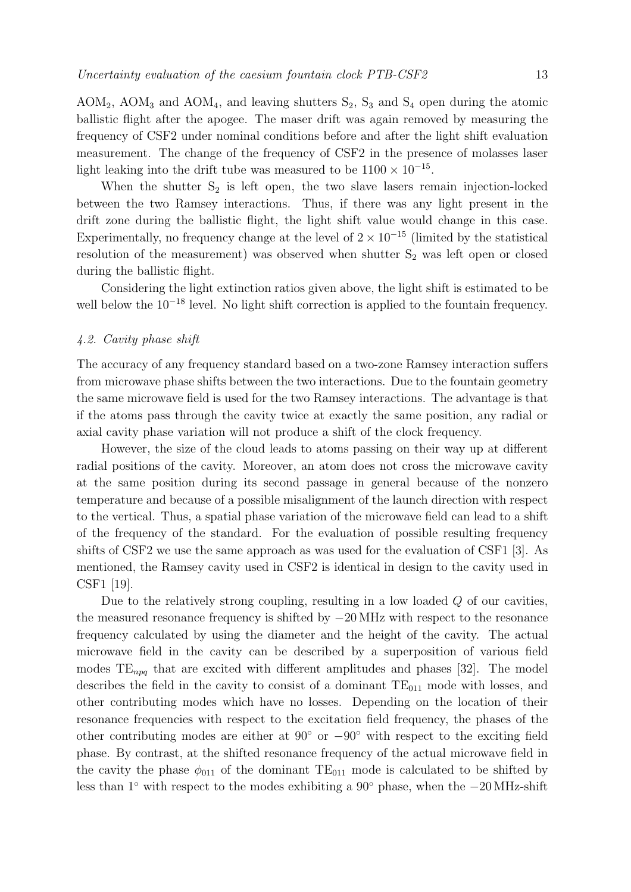AOM<sub>2</sub>, AOM<sub>3</sub> and AOM<sub>4</sub>, and leaving shutters  $S_2$ ,  $S_3$  and  $S_4$  open during the atomic ballistic flight after the apogee. The maser drift was again removed by measuring the frequency of CSF2 under nominal conditions before and after the light shift evaluation measurement. The change of the frequency of CSF2 in the presence of molasses laser light leaking into the drift tube was measured to be  $1100 \times 10^{-15}$ .

When the shutter  $S_2$  is left open, the two slave lasers remain injection-locked between the two Ramsey interactions. Thus, if there was any light present in the drift zone during the ballistic flight, the light shift value would change in this case. Experimentally, no frequency change at the level of  $2 \times 10^{-15}$  (limited by the statistical resolution of the measurement) was observed when shutter  $S_2$  was left open or closed during the ballistic flight.

Considering the light extinction ratios given above, the light shift is estimated to be well below the 10<sup>−</sup><sup>18</sup> level. No light shift correction is applied to the fountain frequency.

#### 4.2. Cavity phase shift

The accuracy of any frequency standard based on a two-zone Ramsey interaction suffers from microwave phase shifts between the two interactions. Due to the fountain geometry the same microwave field is used for the two Ramsey interactions. The advantage is that if the atoms pass through the cavity twice at exactly the same position, any radial or axial cavity phase variation will not produce a shift of the clock frequency.

However, the size of the cloud leads to atoms passing on their way up at different radial positions of the cavity. Moreover, an atom does not cross the microwave cavity at the same position during its second passage in general because of the nonzero temperature and because of a possible misalignment of the launch direction with respect to the vertical. Thus, a spatial phase variation of the microwave field can lead to a shift of the frequency of the standard. For the evaluation of possible resulting frequency shifts of CSF2 we use the same approach as was used for the evaluation of CSF1 [3]. As mentioned, the Ramsey cavity used in CSF2 is identical in design to the cavity used in CSF1 [19].

Due to the relatively strong coupling, resulting in a low loaded Q of our cavities, the measured resonance frequency is shifted by −20 MHz with respect to the resonance frequency calculated by using the diameter and the height of the cavity. The actual microwave field in the cavity can be described by a superposition of various field modes  $TE_{npq}$  that are excited with different amplitudes and phases [32]. The model describes the field in the cavity to consist of a dominant  $TE_{011}$  mode with losses, and other contributing modes which have no losses. Depending on the location of their resonance frequencies with respect to the excitation field frequency, the phases of the other contributing modes are either at 90◦ or −90◦ with respect to the exciting field phase. By contrast, at the shifted resonance frequency of the actual microwave field in the cavity the phase  $\phi_{011}$  of the dominant TE<sub>011</sub> mode is calculated to be shifted by less than 1◦ with respect to the modes exhibiting a 90◦ phase, when the −20 MHz-shift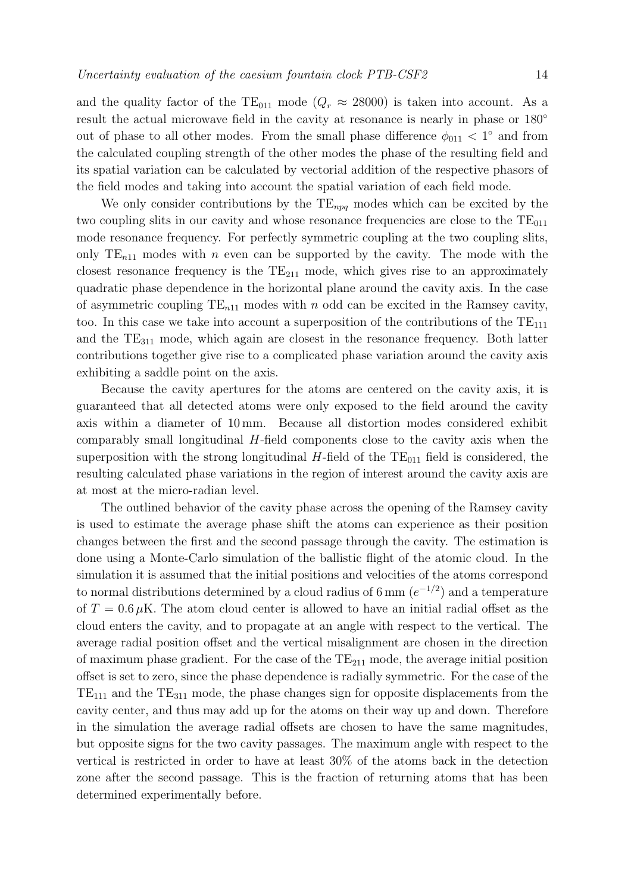and the quality factor of the TE<sub>011</sub> mode ( $Q_r \approx 28000$ ) is taken into account. As a result the actual microwave field in the cavity at resonance is nearly in phase or  $180^{\circ}$ out of phase to all other modes. From the small phase difference  $\phi_{011}$  < 1° and from the calculated coupling strength of the other modes the phase of the resulting field and its spatial variation can be calculated by vectorial addition of the respective phasors of the field modes and taking into account the spatial variation of each field mode.

We only consider contributions by the  $TE_{npq}$  modes which can be excited by the two coupling slits in our cavity and whose resonance frequencies are close to the  $TE_{011}$ mode resonance frequency. For perfectly symmetric coupling at the two coupling slits, only  $TE_{n11}$  modes with n even can be supported by the cavity. The mode with the closest resonance frequency is the  $TE_{211}$  mode, which gives rise to an approximately quadratic phase dependence in the horizontal plane around the cavity axis. In the case of asymmetric coupling  $TE_{n11}$  modes with n odd can be excited in the Ramsey cavity, too. In this case we take into account a superposition of the contributions of the  $TE_{111}$ and the  $TE_{311}$  mode, which again are closest in the resonance frequency. Both latter contributions together give rise to a complicated phase variation around the cavity axis exhibiting a saddle point on the axis.

Because the cavity apertures for the atoms are centered on the cavity axis, it is guaranteed that all detected atoms were only exposed to the field around the cavity axis within a diameter of 10 mm. Because all distortion modes considered exhibit comparably small longitudinal H-field components close to the cavity axis when the superposition with the strong longitudinal  $H$ -field of the  $TE_{011}$  field is considered, the resulting calculated phase variations in the region of interest around the cavity axis are at most at the micro-radian level.

The outlined behavior of the cavity phase across the opening of the Ramsey cavity is used to estimate the average phase shift the atoms can experience as their position changes between the first and the second passage through the cavity. The estimation is done using a Monte-Carlo simulation of the ballistic flight of the atomic cloud. In the simulation it is assumed that the initial positions and velocities of the atoms correspond to normal distributions determined by a cloud radius of 6 mm  $(e^{-1/2})$  and a temperature of  $T = 0.6 \mu K$ . The atom cloud center is allowed to have an initial radial offset as the cloud enters the cavity, and to propagate at an angle with respect to the vertical. The average radial position offset and the vertical misalignment are chosen in the direction of maximum phase gradient. For the case of the  $TE_{211}$  mode, the average initial position offset is set to zero, since the phase dependence is radially symmetric. For the case of the  $TE_{111}$  and the  $TE_{311}$  mode, the phase changes sign for opposite displacements from the cavity center, and thus may add up for the atoms on their way up and down. Therefore in the simulation the average radial offsets are chosen to have the same magnitudes, but opposite signs for the two cavity passages. The maximum angle with respect to the vertical is restricted in order to have at least 30% of the atoms back in the detection zone after the second passage. This is the fraction of returning atoms that has been determined experimentally before.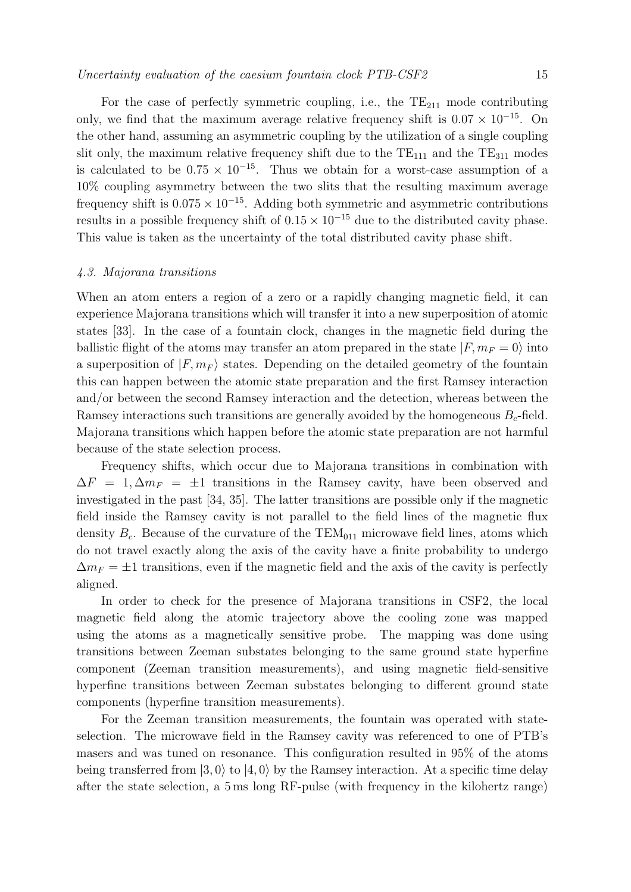For the case of perfectly symmetric coupling, i.e., the  $TE_{211}$  mode contributing only, we find that the maximum average relative frequency shift is  $0.07 \times 10^{-15}$ . On the other hand, assuming an asymmetric coupling by the utilization of a single coupling slit only, the maximum relative frequency shift due to the  $TE_{111}$  and the  $TE_{311}$  modes is calculated to be  $0.75 \times 10^{-15}$ . Thus we obtain for a worst-case assumption of a 10% coupling asymmetry between the two slits that the resulting maximum average frequency shift is  $0.075 \times 10^{-15}$ . Adding both symmetric and asymmetric contributions results in a possible frequency shift of  $0.15 \times 10^{-15}$  due to the distributed cavity phase. This value is taken as the uncertainty of the total distributed cavity phase shift.

#### 4.3. Majorana transitions

When an atom enters a region of a zero or a rapidly changing magnetic field, it can experience Majorana transitions which will transfer it into a new superposition of atomic states [33]. In the case of a fountain clock, changes in the magnetic field during the ballistic flight of the atoms may transfer an atom prepared in the state  $|F, m_F = 0\rangle$  into<br>a superposition of  $|F, m_{\perp}\rangle$  states. Depending on the detailed geometry of the fountain a superposition of  $|F, m_F\rangle$  states. Depending on the detailed geometry of the fountain<br>this can be proper between the stemic state preparation and the first Permear interestion this can happen between the atomic state preparation and the first Ramsey interaction and/or between the second Ramsey interaction and the detection, whereas between the Ramsey interactions such transitions are generally avoided by the homogeneous  $B<sub>c</sub>$ -field. Majorana transitions which happen before the atomic state preparation are not harmful because of the state selection process.

Frequency shifts, which occur due to Majorana transitions in combination with  $\Delta F = 1, \Delta m_F = \pm 1$  transitions in the Ramsey cavity, have been observed and investigated in the past [34, 35]. The latter transitions are possible only if the magnetic field inside the Ramsey cavity is not parallel to the field lines of the magnetic flux density  $B_c$ . Because of the curvature of the TEM<sub>011</sub> microwave field lines, atoms which do not travel exactly along the axis of the cavity have a finite probability to undergo  $\Delta m_F = \pm 1$  transitions, even if the magnetic field and the axis of the cavity is perfectly aligned.

In order to check for the presence of Majorana transitions in CSF2, the local magnetic field along the atomic trajectory above the cooling zone was mapped using the atoms as a magnetically sensitive probe. The mapping was done using transitions between Zeeman substates belonging to the same ground state hyperfine component (Zeeman transition measurements), and using magnetic field-sensitive hyperfine transitions between Zeeman substates belonging to different ground state components (hyperfine transition measurements).

For the Zeeman transition measurements, the fountain was operated with stateselection. The microwave field in the Ramsey cavity was referenced to one of PTB's masers and was tuned on resonance. This configuration resulted in 95% of the atoms being transferred from  $|3,0\rangle$  to  $|4,0\rangle$  by the Ramsey interaction. At a specific time delay after the state selection, a 5 ms long RF-pulse (with frequency in the kilohertz range)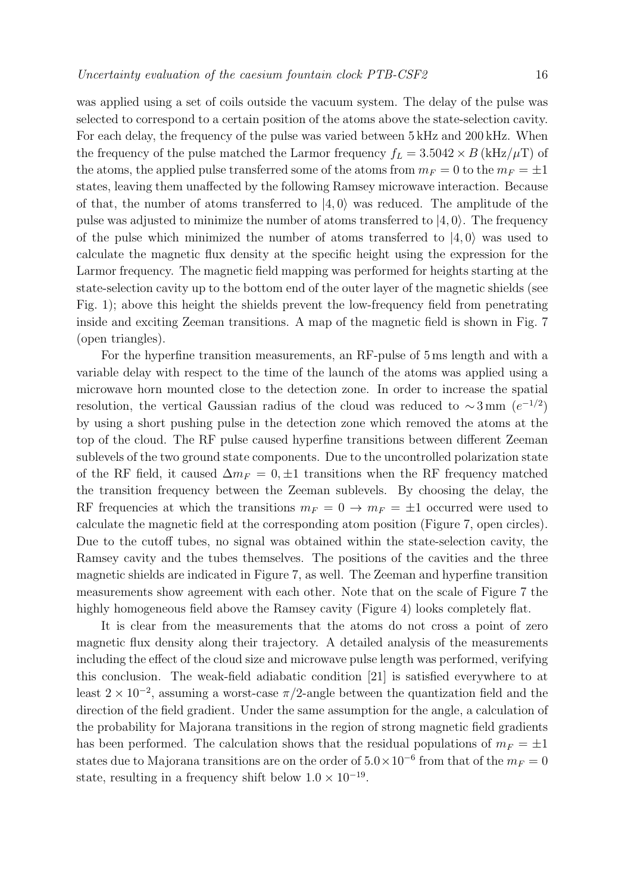was applied using a set of coils outside the vacuum system. The delay of the pulse was selected to correspond to a certain position of the atoms above the state-selection cavity. For each delay, the frequency of the pulse was varied between 5 kHz and 200 kHz. When the frequency of the pulse matched the Larmor frequency  $f_L = 3.5042 \times B \times (kHz/\mu T)$  of the atoms, the applied pulse transferred some of the atoms from  $m_F = 0$  to the  $m_F = \pm 1$ states, leaving them unaffected by the following Ramsey microwave interaction. Because of that, the number of atoms transferred to  $|4, 0\rangle$  was reduced. The amplitude of the<br>nulse was edited to minimize the number of atoms transferred to  $|4, 0\rangle$ . The frequency pulse was adjusted to minimize the number of atoms transferred to  $|4, 0\rangle$ . The frequency of the pulse which minimized the number of atoms transferred to  $|4, 0\rangle$  was used to colculate the magnetic flux density at the gracific height using the expression for the calculate the magnetic flux density at the specific height using the expression for the Larmor frequency. The magnetic field mapping was performed for heights starting at the state-selection cavity up to the bottom end of the outer layer of the magnetic shields (see Fig. 1); above this height the shields prevent the low-frequency field from penetrating inside and exciting Zeeman transitions. A map of the magnetic field is shown in Fig. 7 (open triangles).

For the hyperfine transition measurements, an RF-pulse of 5 ms length and with a variable delay with respect to the time of the launch of the atoms was applied using a microwave horn mounted close to the detection zone. In order to increase the spatial resolution, the vertical Gaussian radius of the cloud was reduced to  $\sim 3 \,\text{mm}$  ( $e^{-1/2}$ ) by using a short pushing pulse in the detection zone which removed the atoms at the top of the cloud. The RF pulse caused hyperfine transitions between different Zeeman sublevels of the two ground state components. Due to the uncontrolled polarization state of the RF field, it caused  $\Delta m_F = 0, \pm 1$  transitions when the RF frequency matched the transition frequency between the Zeeman sublevels. By choosing the delay, the RF frequencies at which the transitions  $m_F = 0 \rightarrow m_F = \pm 1$  occurred were used to calculate the magnetic field at the corresponding atom position (Figure 7, open circles). Due to the cutoff tubes, no signal was obtained within the state-selection cavity, the Ramsey cavity and the tubes themselves. The positions of the cavities and the three magnetic shields are indicated in Figure 7, as well. The Zeeman and hyperfine transition measurements show agreement with each other. Note that on the scale of Figure 7 the highly homogeneous field above the Ramsey cavity (Figure 4) looks completely flat.

It is clear from the measurements that the atoms do not cross a point of zero magnetic flux density along their trajectory. A detailed analysis of the measurements including the effect of the cloud size and microwave pulse length was performed, verifying this conclusion. The weak-field adiabatic condition [21] is satisfied everywhere to at least  $2 \times 10^{-2}$ , assuming a worst-case  $\pi/2$ -angle between the quantization field and the direction of the field gradient. Under the same assumption for the angle, a calculation of the probability for Majorana transitions in the region of strong magnetic field gradients has been performed. The calculation shows that the residual populations of  $m_F = \pm 1$ states due to Majorana transitions are on the order of  $5.0 \times 10^{-6}$  from that of the  $m_F = 0$ state, resulting in a frequency shift below  $1.0 \times 10^{-19}$ .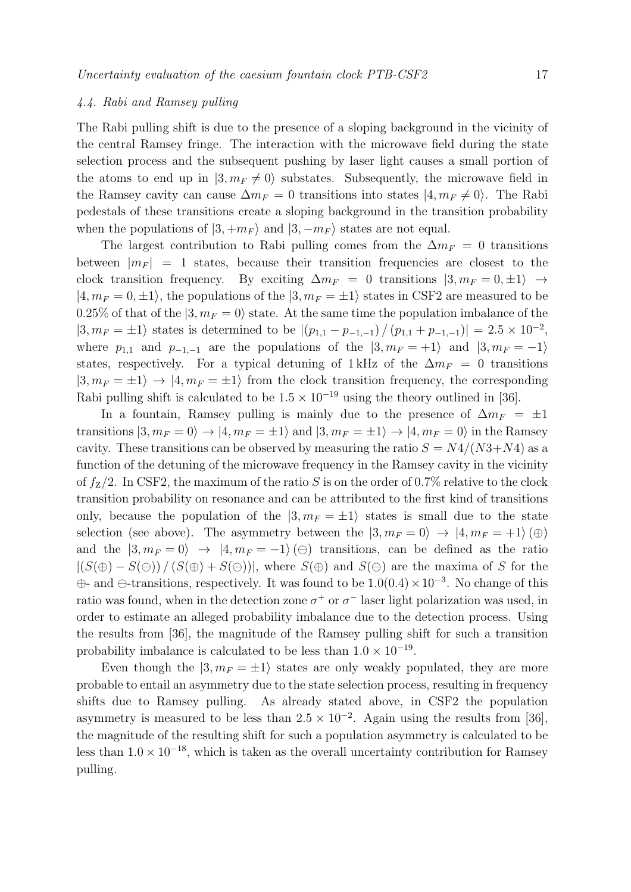#### 4.4. Rabi and Ramsey pulling

The Rabi pulling shift is due to the presence of a sloping background in the vicinity of the central Ramsey fringe. The interaction with the microwave field during the state selection process and the subsequent pushing by laser light causes a small portion of the atoms to end up in  $|3, m_F \neq 0\rangle$  substates. Subsequently, the microwave field in<br>the Barneau equity can cause  $\Delta m = 0$  transitions into states  $|4, m_{\perp} \neq 0\rangle$ . The Babi the Ramsey cavity can cause  $\Delta m_F = 0$  transitions into states  $|4, m_F \neq 0\rangle$ . The Rabi pedestals of these transitions create a sloping background in the transition probability when the populations of  $|3, +m_F\rangle$  and  $|3, -m_F\rangle$  states are not equal.<br>The largest contribution to Pabi pulling comes from the  $\Delta m$ 

The largest contribution to Rabi pulling comes from the  $\Delta m_F = 0$  transitions between  $|m_F| = 1$  states, because their transition frequencies are closest to the clock transition frequency. By exciting  $\Delta m_F = 0$  transitions  $|3, m_F = 0, \pm 1\rangle \rightarrow$ <br> $|4, m_c = 0, \pm 1\rangle$ , the permissions of the  $|3, m_c = \pm 1\rangle$  states in CSE2 are measured to be  $|4, m_F = 0, \pm 1\rangle$ , the populations of the  $|3, m_F = \pm 1\rangle$  states in CSF2 are measured to be 0.25% of that of the  $|3, m_F = 0\rangle$  state. At the same time the population imbalance of the  $|3, m_F = \pm 1\rangle$  states is determined to be  $|(p_{1,1} - p_{-1,-1})/(p_{1,1} + p_{-1,-1})| = 2.5 \times 10^{-2}$ , where  $p_{1,1}$  and  $p_{-1,-1}$  are the populations of the  $|3, m_F = +1\rangle$  and  $|3, m_F = -1\rangle$ states, respectively. For a typical detuning of 1 kHz of the  $\Delta m_F = 0$  transitions  $|3, m_F = \pm 1\rangle \rightarrow |4, m_F = \pm 1\rangle$  from the clock transition frequency, the corresponding<br>Behi-pulling shift is solved to be  $1.5 \times 10^{-19}$  using the theory sutlined in [26] Rabi pulling shift is calculated to be  $1.5 \times 10^{-19}$  using the theory outlined in [36].

In a fountain, Ramsey pulling is mainly due to the presence of  $\Delta m_F = \pm 1$ transitions  $|3, m_F = 0\rangle \rightarrow |4, m_F = \pm 1\rangle$  and  $|3, m_F = \pm 1\rangle \rightarrow |4, m_F = 0\rangle$  in the Ramsey cavity. These transitions can be observed by measuring the ratio  $S = N4/(N3+N4)$  as a function of the detuning of the microwave frequency in the Ramsey cavity in the vicinity of  $f_Z/2$ . In CSF2, the maximum of the ratio S is on the order of 0.7% relative to the clock transition probability on resonance and can be attributed to the first kind of transitions only, because the population of the  $|3, m_F = \pm 1\rangle$  states is small due to the state<br>colection (see above). The examinative hetrecal the  $|3, m_{\perp}| \ge 0$ selection (see above). The asymmetry between the  $|3, m_F = 0\rangle \rightarrow |4, m_F = +1\rangle(\oplus)$ and the  $|3, m_F = 0\rangle \rightarrow |4, m_F = -1\rangle(\ominus)$  transitions, can be defined as the ratio  $|(S(\oplus) - S(\ominus)) / (S(\oplus) + S(\ominus))|$ , where  $S(\oplus)$  and  $S(\ominus)$  are the maxima of S for the  $\oplus$ - and  $\ominus$ -transitions, respectively. It was found to be  $1.0(0.4) \times 10^{-3}$ . No change of this ratio was found, when in the detection zone  $\sigma^+$  or  $\sigma^-$  laser light polarization was used, in order to estimate an alleged probability imbalance due to the detection process. Using the results from [36], the magnitude of the Ramsey pulling shift for such a transition probability imbalance is calculated to be less than  $1.0 \times 10^{-19}$ .

Even though the  $|3, m_F = \pm 1\rangle$  states are only weakly populated, they are more oble to ontail an agreement due to the state selection precess, resulting in frequency probable to entail an asymmetry due to the state selection process, resulting in frequency shifts due to Ramsey pulling. As already stated above, in CSF2 the population asymmetry is measured to be less than  $2.5 \times 10^{-2}$ . Again using the results from [36], the magnitude of the resulting shift for such a population asymmetry is calculated to be less than  $1.0 \times 10^{-18}$ , which is taken as the overall uncertainty contribution for Ramsey pulling.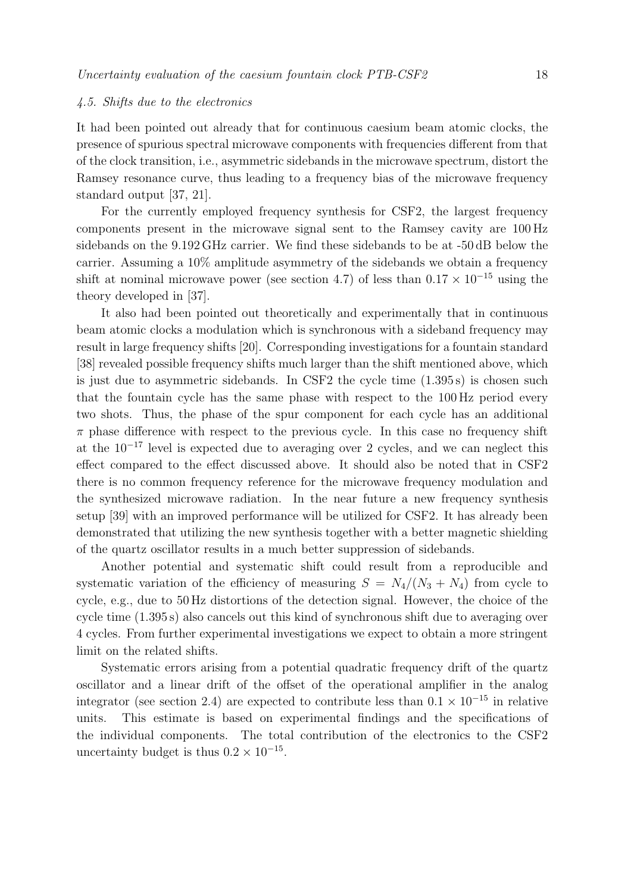#### 4.5. Shifts due to the electronics

It had been pointed out already that for continuous caesium beam atomic clocks, the presence of spurious spectral microwave components with frequencies different from that of the clock transition, i.e., asymmetric sidebands in the microwave spectrum, distort the Ramsey resonance curve, thus leading to a frequency bias of the microwave frequency standard output [37, 21].

For the currently employed frequency synthesis for CSF2, the largest frequency components present in the microwave signal sent to the Ramsey cavity are 100 Hz sidebands on the 9.192 GHz carrier. We find these sidebands to be at -50 dB below the carrier. Assuming a 10% amplitude asymmetry of the sidebands we obtain a frequency shift at nominal microwave power (see section 4.7) of less than  $0.17 \times 10^{-15}$  using the theory developed in [37].

It also had been pointed out theoretically and experimentally that in continuous beam atomic clocks a modulation which is synchronous with a sideband frequency may result in large frequency shifts [20]. Corresponding investigations for a fountain standard [38] revealed possible frequency shifts much larger than the shift mentioned above, which is just due to asymmetric sidebands. In CSF2 the cycle time (1.395 s) is chosen such that the fountain cycle has the same phase with respect to the 100 Hz period every two shots. Thus, the phase of the spur component for each cycle has an additional  $\pi$  phase difference with respect to the previous cycle. In this case no frequency shift at the  $10^{-17}$  level is expected due to averaging over 2 cycles, and we can neglect this effect compared to the effect discussed above. It should also be noted that in CSF2 there is no common frequency reference for the microwave frequency modulation and the synthesized microwave radiation. In the near future a new frequency synthesis setup [39] with an improved performance will be utilized for CSF2. It has already been demonstrated that utilizing the new synthesis together with a better magnetic shielding of the quartz oscillator results in a much better suppression of sidebands.

Another potential and systematic shift could result from a reproducible and systematic variation of the efficiency of measuring  $S = N_4/(N_3 + N_4)$  from cycle to cycle, e.g., due to 50 Hz distortions of the detection signal. However, the choice of the cycle time (1.395 s) also cancels out this kind of synchronous shift due to averaging over 4 cycles. From further experimental investigations we expect to obtain a more stringent limit on the related shifts.

Systematic errors arising from a potential quadratic frequency drift of the quartz oscillator and a linear drift of the offset of the operational amplifier in the analog integrator (see section 2.4) are expected to contribute less than  $0.1 \times 10^{-15}$  in relative units. This estimate is based on experimental findings and the specifications of This estimate is based on experimental findings and the specifications of the individual components. The total contribution of the electronics to the CSF2 uncertainty budget is thus  $0.2 \times 10^{-15}$ .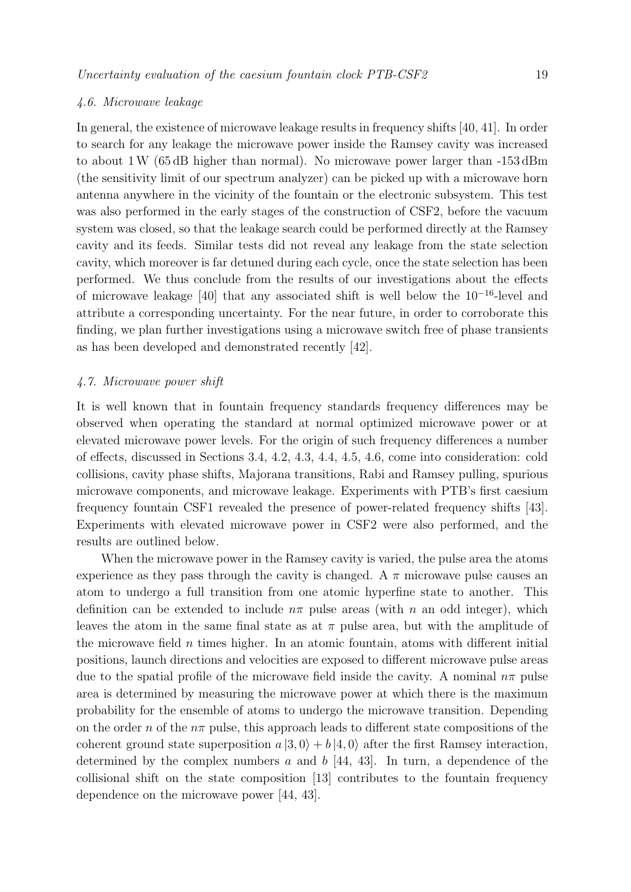#### 4.6. Microwave leakage

In general, the existence of microwave leakage results in frequency shifts [40, 41]. In order to search for any leakage the microwave power inside the Ramsey cavity was increased to about 1W (65 dB higher than normal). No microwave power larger than -153 dBm (the sensitivity limit of our spectrum analyzer) can be picked up with a microwave horn antenna anywhere in the vicinity of the fountain or the electronic subsystem. This test was also performed in the early stages of the construction of CSF2, before the vacuum system was closed, so that the leakage search could be performed directly at the Ramsey cavity and its feeds. Similar tests did not reveal any leakage from the state selection cavity, which moreover is far detuned during each cycle, once the state selection has been performed. We thus conclude from the results of our investigations about the effects of microwave leakage [40] that any associated shift is well below the 10<sup>−</sup><sup>16</sup>-level and attribute a corresponding uncertainty. For the near future, in order to corroborate this finding, we plan further investigations using a microwave switch free of phase transients as has been developed and demonstrated recently [42].

#### 4.7. Microwave power shift

It is well known that in fountain frequency standards frequency differences may be observed when operating the standard at normal optimized microwave power or at elevated microwave power levels. For the origin of such frequency differences a number of effects, discussed in Sections 3.4, 4.2, 4.3, 4.4, 4.5, 4.6, come into consideration: cold collisions, cavity phase shifts, Majorana transitions, Rabi and Ramsey pulling, spurious microwave components, and microwave leakage. Experiments with PTB's first caesium frequency fountain CSF1 revealed the presence of power-related frequency shifts [43]. Experiments with elevated microwave power in CSF2 were also performed, and the results are outlined below.

When the microwave power in the Ramsey cavity is varied, the pulse area the atoms experience as they pass through the cavity is changed. A  $\pi$  microwave pulse causes an atom to undergo a full transition from one atomic hyperfine state to another. This definition can be extended to include  $n\pi$  pulse areas (with n an odd integer), which leaves the atom in the same final state as at  $\pi$  pulse area, but with the amplitude of the microwave field  $n$  times higher. In an atomic fountain, atoms with different initial positions, launch directions and velocities are exposed to different microwave pulse areas due to the spatial profile of the microwave field inside the cavity. A nominal  $n\pi$  pulse area is determined by measuring the microwave power at which there is the maximum probability for the ensemble of atoms to undergo the microwave transition. Depending on the order n of the  $n\pi$  pulse, this approach leads to different state compositions of the coherent ground state superposition  $a |3, 0\rangle + b |4, 0\rangle$  after the first Ramsey interaction,<br>determined by the sempley numbers g and b [44, 42]. In turn, a dependence of the determined by the complex numbers  $a$  and  $b$  [44, 43]. In turn, a dependence of the collisional shift on the state composition [13] contributes to the fountain frequency dependence on the microwave power [44, 43].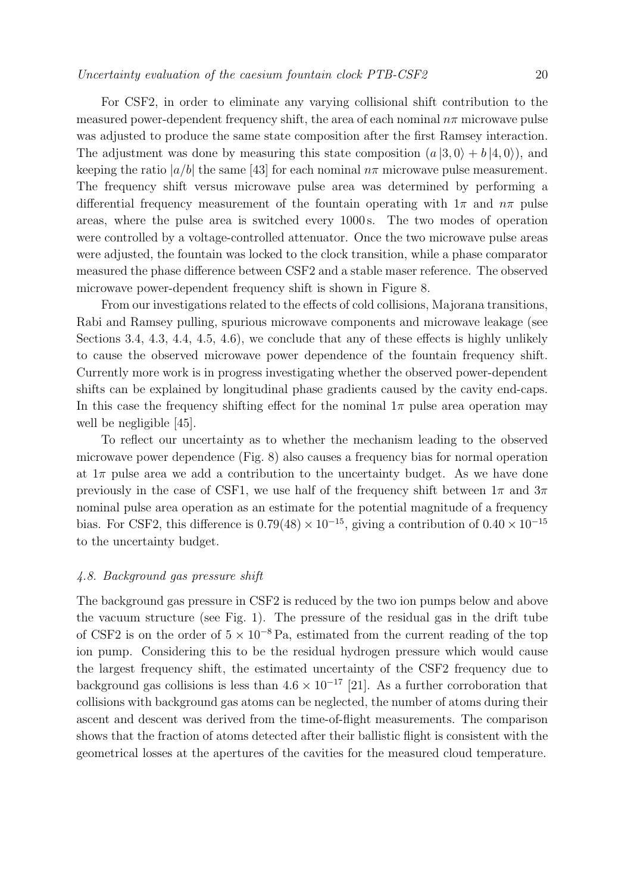For CSF2, in order to eliminate any varying collisional shift contribution to the measured power-dependent frequency shift, the area of each nominal  $n\pi$  microwave pulse was adjusted to produce the same state composition after the first Ramsey interaction. The adjustment was done by measuring this state composition  $(a|3,0\rangle + b|4,0\rangle)$ , and<br>leaping the ratio  $|a/b|$  the same [42] for each nominal agriculture pulse measurement. keeping the ratio  $|a/b|$  the same [43] for each nominal  $n\pi$  microwave pulse measurement. The frequency shift versus microwave pulse area was determined by performing a differential frequency measurement of the fountain operating with  $1\pi$  and  $n\pi$  pulse areas, where the pulse area is switched every 1000 s. The two modes of operation were controlled by a voltage-controlled attenuator. Once the two microwave pulse areas were adjusted, the fountain was locked to the clock transition, while a phase comparator measured the phase difference between CSF2 and a stable maser reference. The observed microwave power-dependent frequency shift is shown in Figure 8.

From our investigations related to the effects of cold collisions, Majorana transitions, Rabi and Ramsey pulling, spurious microwave components and microwave leakage (see Sections 3.4, 4.3, 4.4, 4.5, 4.6), we conclude that any of these effects is highly unlikely to cause the observed microwave power dependence of the fountain frequency shift. Currently more work is in progress investigating whether the observed power-dependent shifts can be explained by longitudinal phase gradients caused by the cavity end-caps. In this case the frequency shifting effect for the nominal  $1\pi$  pulse area operation may well be negligible [45].

To reflect our uncertainty as to whether the mechanism leading to the observed microwave power dependence (Fig. 8) also causes a frequency bias for normal operation at  $1\pi$  pulse area we add a contribution to the uncertainty budget. As we have done previously in the case of CSF1, we use half of the frequency shift between  $1\pi$  and  $3\pi$ nominal pulse area operation as an estimate for the potential magnitude of a frequency bias. For CSF2, this difference is  $0.79(48) \times 10^{-15}$ , giving a contribution of  $0.40 \times 10^{-15}$ to the uncertainty budget.

#### 4.8. Background gas pressure shift

The background gas pressure in CSF2 is reduced by the two ion pumps below and above the vacuum structure (see Fig. 1). The pressure of the residual gas in the drift tube of CSF2 is on the order of  $5 \times 10^{-8}$  Pa, estimated from the current reading of the top ion pump. Considering this to be the residual hydrogen pressure which would cause the largest frequency shift, the estimated uncertainty of the CSF2 frequency due to background gas collisions is less than  $4.6 \times 10^{-17}$  [21]. As a further corroboration that collisions with background gas atoms can be neglected, the number of atoms during their ascent and descent was derived from the time-of-flight measurements. The comparison shows that the fraction of atoms detected after their ballistic flight is consistent with the geometrical losses at the apertures of the cavities for the measured cloud temperature.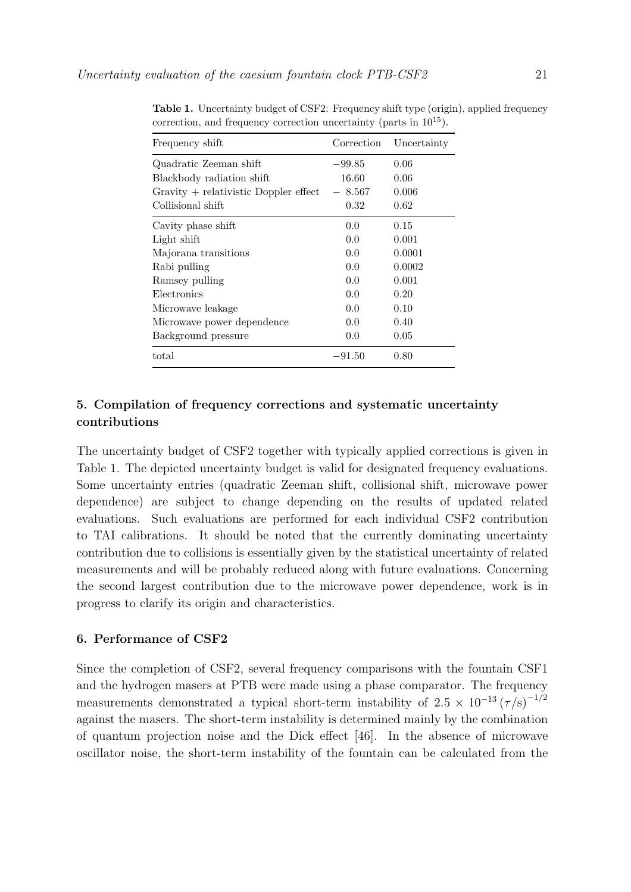| Frequency shift                         | Correction | Uncertainty |
|-----------------------------------------|------------|-------------|
| Quadratic Zeeman shift                  | $-99.85$   | 0.06        |
| Blackbody radiation shift               | 16.60      | 0.06        |
| $Gravity + relativistic Doppler effect$ | 8.567      | 0.006       |
| Collisional shift                       | 0.32       | 0.62        |
| Cavity phase shift                      | 0.0        | 0.15        |
| Light shift                             | 0.0        | 0.001       |
| Majorana transitions                    | 0.0        | 0.0001      |
| Rabi pulling                            | 0.0        | 0.0002      |
| Ramsey pulling                          | 0.0        | 0.001       |
| Electronics                             | 0.0        | 0.20        |
| Microwave leakage                       | 0.0        | 0.10        |
| Microwave power dependence              | 0.0        | 0.40        |
| Background pressure                     | 0.0        | 0.05        |
| total                                   | $-91.50$   | 0.80        |

**Table 1.** Uncertainty budget of CSF2: Frequency shift type (origin), applied frequency correction, and frequency correction uncertainty (parts in  $10^{15}$ ).

# **5. Compilation of frequency corrections and systematic uncertainty contributions**

The uncertainty budget of CSF2 together with typically applied corrections is given in Table 1. The depicted uncertainty budget is valid for designated frequency evaluations. Some uncertainty entries (quadratic Zeeman shift, collisional shift, microwave power dependence) are subject to change depending on the results of updated related evaluations. Such evaluations are performed for each individual CSF2 contribution to TAI calibrations. It should be noted that the currently dominating uncertainty contribution due to collisions is essentially given by the statistical uncertainty of related measurements and will be probably reduced along with future evaluations. Concerning the second largest contribution due to the microwave power dependence, work is in progress to clarify its origin and characteristics.

#### **6. Performance of CSF2**

Since the completion of CSF2, several frequency comparisons with the fountain CSF1 and the hydrogen masers at PTB were made using a phase comparator. The frequency measurements demonstrated a typical short-term instability of  $2.5 \times 10^{-13} (\tau/s)^{-1/2}$ against the masers. The short-term instability is determined mainly by the combination of quantum projection noise and the Dick effect [46]. In the absence of microwave oscillator noise, the short-term instability of the fountain can be calculated from the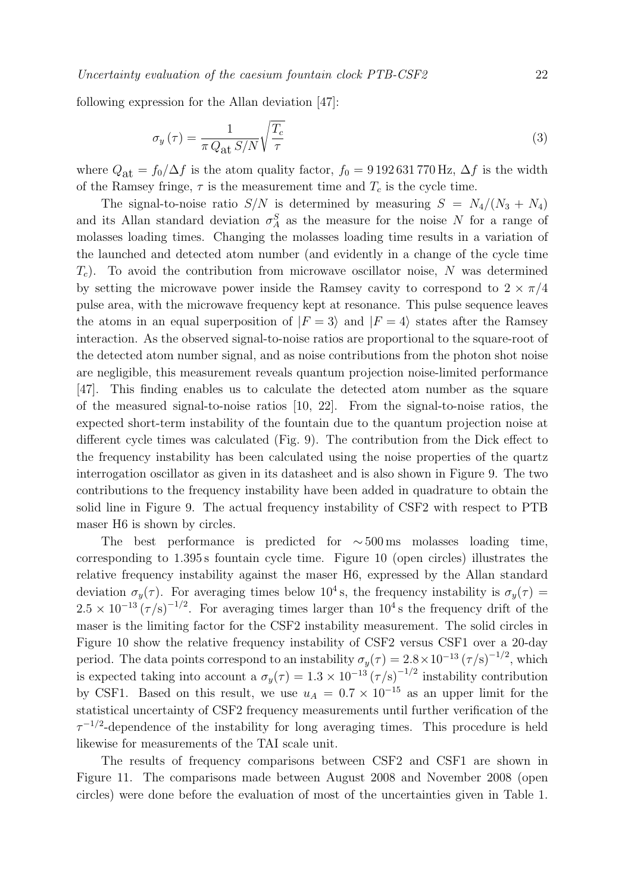following expression for the Allan deviation [47]:

$$
\sigma_y(\tau) = \frac{1}{\pi Q_{\rm at} S/N} \sqrt{\frac{T_c}{\tau}}
$$
\n(3)

where  $Q_{\text{at}} = f_0/\Delta f$  is the atom quality factor,  $f_0 = 9192631770 \text{ Hz}$ ,  $\Delta f$  is the width of the Ramsey fringe,  $\tau$  is the measurement time and  $T_c$  is the cycle time.

The signal-to-noise ratio  $S/N$  is determined by measuring  $S = N_4/(N_3 + N_4)$ and its Allan standard deviation  $\sigma_A^S$  as the measure for the noise N for a range of melogene loading time. Changing the melogene loading time possible in a variation of molasses loading times. Changing the molasses loading time results in a variation of the launched and detected atom number (and evidently in a change of the cycle time  $T_c$ ). To avoid the contribution from microwave oscillator noise, N was determined by setting the microwave power inside the Ramsey cavity to correspond to  $2 \times \pi/4$ pulse area, with the microwave frequency kept at resonance. This pulse sequence leaves the atoms in an equal superposition of  $|F = 3\rangle$  and  $|F = 4\rangle$  states after the Ramsey interaction. As the observed signal-to-noise ratios are proportional to the square-root of the detected atom number signal, and as noise contributions from the photon shot noise are negligible, this measurement reveals quantum projection noise-limited performance [47]. This finding enables us to calculate the detected atom number as the square of the measured signal-to-noise ratios [10, 22]. From the signal-to-noise ratios, the expected short-term instability of the fountain due to the quantum projection noise at different cycle times was calculated (Fig. 9). The contribution from the Dick effect to the frequency instability has been calculated using the noise properties of the quartz interrogation oscillator as given in its datasheet and is also shown in Figure 9. The two contributions to the frequency instability have been added in quadrature to obtain the solid line in Figure 9. The actual frequency instability of CSF2 with respect to PTB maser H6 is shown by circles.

The best performance is predicted for  $\sim$  500 ms molasses loading time, corresponding to 1.395 s fountain cycle time. Figure 10 (open circles) illustrates the relative frequency instability against the maser H6, expressed by the Allan standard deviation  $\sigma_y(\tau)$ . For averaging times below 10<sup>4</sup> s, the frequency instability is  $\sigma_y(\tau)$  =  $2.5 \times 10^{-13} (\tau/s)^{-1/2}$ . For averaging times larger than  $10^4$  s the frequency drift of the maser is the limiting factor for the CSF2 instability measurement. The solid circles in Figure 10 show the relative frequency instability of CSF2 versus CSF1 over a 20-day period. The data points correspond to an instability  $\sigma_y(\tau) = 2.8 \times 10^{-13} (\tau/s)^{-1/2}$ , which is expected taking into account a  $\sigma_y(\tau) = 1.3 \times 10^{-13} (\tau/\text{s})^{-1/2}$  instability contribution by CSF1. Based on this result, we use  $u_A = 0.7 \times 10^{-15}$  as an upper limit for the statistical uncertainty of CSF2 frequency measurements until further verification of the  $\tau^{-1/2}$ -dependence of the instability for long averaging times. This procedure is held likewise for measurements of the TAI scale unit.

The results of frequency comparisons between CSF2 and CSF1 are shown in Figure 11. The comparisons made between August 2008 and November 2008 (open circles) were done before the evaluation of most of the uncertainties given in Table 1.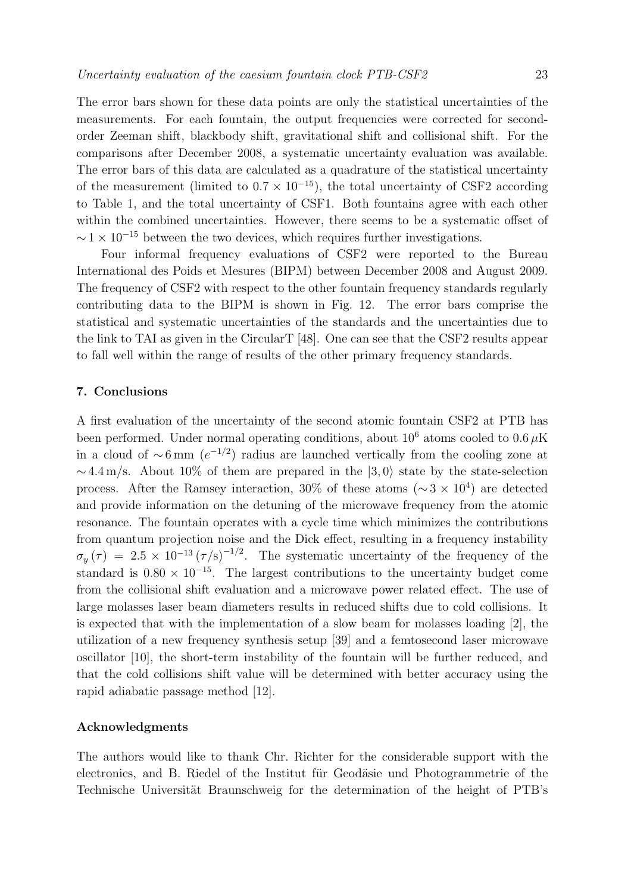The error bars shown for these data points are only the statistical uncertainties of the measurements. For each fountain, the output frequencies were corrected for secondorder Zeeman shift, blackbody shift, gravitational shift and collisional shift. For the comparisons after December 2008, a systematic uncertainty evaluation was available. The error bars of this data are calculated as a quadrature of the statistical uncertainty of the measurement (limited to  $0.7 \times 10^{-15}$ ), the total uncertainty of CSF2 according to Table 1, and the total uncertainty of CSF1. Both fountains agree with each other within the combined uncertainties. However, there seems to be a systematic offset of  $\sim$  1 × 10<sup>-15</sup> between the two devices, which requires further investigations.

Four informal frequency evaluations of CSF2 were reported to the Bureau International des Poids et Mesures (BIPM) between December 2008 and August 2009. The frequency of CSF2 with respect to the other fountain frequency standards regularly contributing data to the BIPM is shown in Fig. 12. The error bars comprise the statistical and systematic uncertainties of the standards and the uncertainties due to the link to TAI as given in the CircularT [48]. One can see that the CSF2 results appear to fall well within the range of results of the other primary frequency standards.

#### **7. Conclusions**

A first evaluation of the uncertainty of the second atomic fountain CSF2 at PTB has been performed. Under normal operating conditions, about  $10^6$  atoms cooled to  $0.6 \mu$ K in a cloud of  $\sim$ 6 mm (e<sup>-1/2</sup>) radius are launched vertically from the cooling zone at  $\sim$  4.4 m/s. About 10% of them are prepared in the  $|3,0\rangle$  state by the state-selection<br>precess. After the Bernson interesting 20% of these stams ( $\approx$   $\times$  10<sup>4</sup>) are detected process. After the Ramsey interaction, 30% of these atoms ( $\sim$ 3 × 10<sup>4</sup>) are detected and provide information on the detuning of the microwave frequency from the atomic resonance. The fountain operates with a cycle time which minimizes the contributions from quantum projection noise and the Dick effect, resulting in a frequency instability  $\sigma_y(\tau) = 2.5 \times 10^{-13} (\tau/\text{s})^{-1/2}$ . The systematic uncertainty of the frequency of the standard is 0.80 × 10<sup>-15</sup>. The largest contributions to the uncertainty bulget come standard is  $0.80 \times 10^{-15}$ . The largest contributions to the uncertainty budget come from the collisional shift evaluation and a microwave power related effect. The use of large molasses laser beam diameters results in reduced shifts due to cold collisions. It is expected that with the implementation of a slow beam for molasses loading [2], the utilization of a new frequency synthesis setup [39] and a femtosecond laser microwave oscillator [10], the short-term instability of the fountain will be further reduced, and that the cold collisions shift value will be determined with better accuracy using the rapid adiabatic passage method [12].

#### **Acknowledgments**

The authors would like to thank Chr. Richter for the considerable support with the electronics, and B. Riedel of the Institut für Geodäsie und Photogrammetrie of the Technische Universität Braunschweig for the determination of the height of PTB's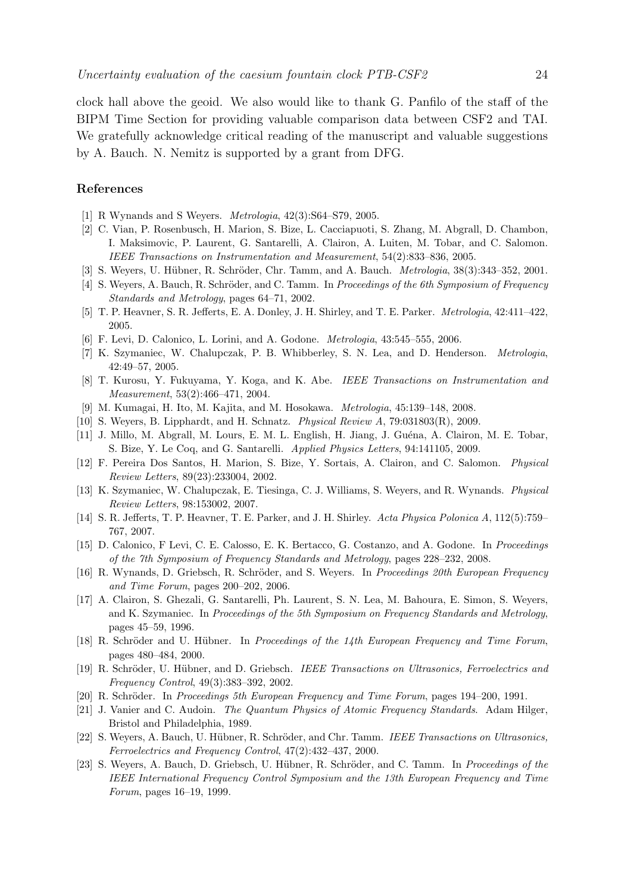clock hall above the geoid. We also would like to thank G. Panfilo of the staff of the BIPM Time Section for providing valuable comparison data between CSF2 and TAI. We gratefully acknowledge critical reading of the manuscript and valuable suggestions by A. Bauch. N. Nemitz is supported by a grant from DFG.

#### **References**

- [1] R Wynands and S Weyers. Metrologia, 42(3):S64–S79, 2005.
- [2] C. Vian, P. Rosenbusch, H. Marion, S. Bize, L. Cacciapuoti, S. Zhang, M. Abgrall, D. Chambon, I. Maksimovic, P. Laurent, G. Santarelli, A. Clairon, A. Luiten, M. Tobar, and C. Salomon. IEEE Transactions on Instrumentation and Measurement, 54(2):833–836, 2005.
- [3] S. Weyers, U. Hübner, R. Schröder, Chr. Tamm, and A. Bauch. *Metrologia*, 38(3):343–352, 2001.
- [4] S. Weyers, A. Bauch, R. Schröder, and C. Tamm. In Proceedings of the 6th Symposium of Frequency Standards and Metrology, pages 64–71, 2002.
- [5] T. P. Heavner, S. R. Jefferts, E. A. Donley, J. H. Shirley, and T. E. Parker. Metrologia, 42:411–422, 2005.
- [6] F. Levi, D. Calonico, L. Lorini, and A. Godone. Metrologia, 43:545–555, 2006.
- [7] K. Szymaniec, W. Chalupczak, P. B. Whibberley, S. N. Lea, and D. Henderson. Metrologia, 42:49–57, 2005.
- [8] T. Kurosu, Y. Fukuyama, Y. Koga, and K. Abe. IEEE Transactions on Instrumentation and Measurement, 53(2):466–471, 2004.
- [9] M. Kumagai, H. Ito, M. Kajita, and M. Hosokawa. Metrologia, 45:139–148, 2008.
- [10] S. Weyers, B. Lipphardt, and H. Schnatz. Physical Review A, 79:031803(R), 2009.
- [11] J. Millo, M. Abgrall, M. Lours, E. M. L. English, H. Jiang, J. Guéna, A. Clairon, M. E. Tobar, S. Bize, Y. Le Coq, and G. Santarelli. Applied Physics Letters, 94:141105, 2009.
- [12] F. Pereira Dos Santos, H. Marion, S. Bize, Y. Sortais, A. Clairon, and C. Salomon. Physical Review Letters, 89(23):233004, 2002.
- [13] K. Szymaniec, W. Chalupczak, E. Tiesinga, C. J. Williams, S. Weyers, and R. Wynands. Physical Review Letters, 98:153002, 2007.
- [14] S. R. Jefferts, T. P. Heavner, T. E. Parker, and J. H. Shirley. Acta Physica Polonica A, 112(5):759– 767, 2007.
- [15] D. Calonico, F Levi, C. E. Calosso, E. K. Bertacco, G. Costanzo, and A. Godone. In Proceedings of the 7th Symposium of Frequency Standards and Metrology, pages 228–232, 2008.
- [16] R. Wynands, D. Griebsch, R. Schröder, and S. Weyers. In Proceedings 20th European Frequency and Time Forum, pages 200–202, 2006.
- [17] A. Clairon, S. Ghezali, G. Santarelli, Ph. Laurent, S. N. Lea, M. Bahoura, E. Simon, S. Weyers, and K. Szymaniec. In Proceedings of the 5th Symposium on Frequency Standards and Metrology, pages 45–59, 1996.
- [18] R. Schröder and U. Hübner. In Proceedings of the  $14$ th European Frequency and Time Forum, pages 480–484, 2000.
- [19] R. Schröder, U. Hübner, and D. Griebsch. IEEE Transactions on Ultrasonics, Ferroelectrics and Frequency Control, 49(3):383–392, 2002.
- [20] R. Schröder. In Proceedings 5th European Frequency and Time Forum, pages 194–200, 1991.
- [21] J. Vanier and C. Audoin. The Quantum Physics of Atomic Frequency Standards. Adam Hilger, Bristol and Philadelphia, 1989.
- [22] S. Weyers, A. Bauch, U. Hübner, R. Schröder, and Chr. Tamm. IEEE Transactions on Ultrasonics, Ferroelectrics and Frequency Control, 47(2):432–437, 2000.
- [23] S. Weyers, A. Bauch, D. Griebsch, U. Hübner, R. Schröder, and C. Tamm. In Proceedings of the IEEE International Frequency Control Symposium and the 13th European Frequency and Time Forum, pages 16–19, 1999.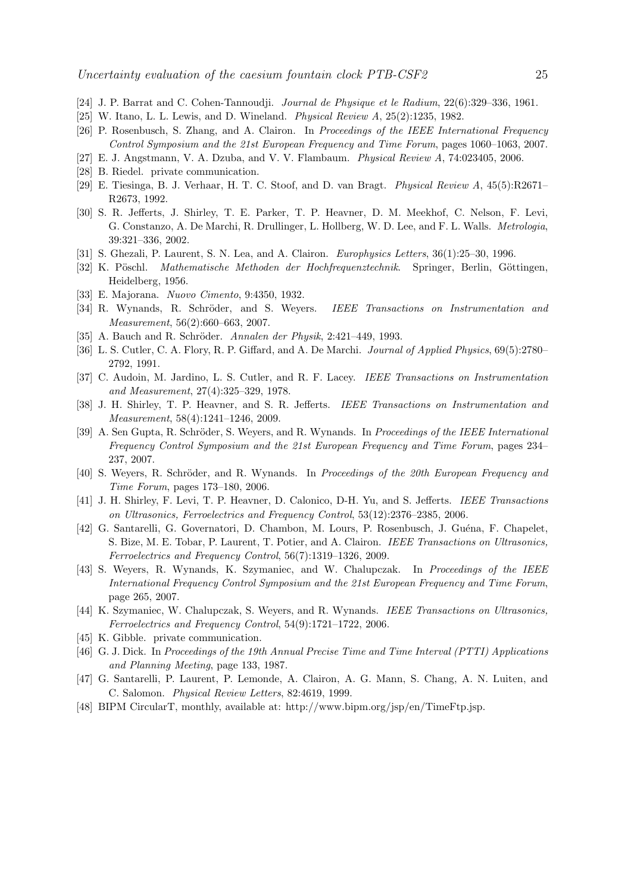- [24] J. P. Barrat and C. Cohen-Tannoudji. Journal de Physique et le Radium, 22(6):329–336, 1961.
- [25] W. Itano, L. L. Lewis, and D. Wineland. Physical Review A, 25(2):1235, 1982.
- [26] P. Rosenbusch, S. Zhang, and A. Clairon. In Proceedings of the IEEE International Frequency Control Symposium and the 21st European Frequency and Time Forum, pages 1060–1063, 2007.
- [27] E. J. Angstmann, V. A. Dzuba, and V. V. Flambaum. Physical Review A, 74:023405, 2006.
- [28] B. Riedel. private communication.
- [29] E. Tiesinga, B. J. Verhaar, H. T. C. Stoof, and D. van Bragt. Physical Review A, 45(5):R2671– R2673, 1992.
- [30] S. R. Jefferts, J. Shirley, T. E. Parker, T. P. Heavner, D. M. Meekhof, C. Nelson, F. Levi, G. Constanzo, A. De Marchi, R. Drullinger, L. Hollberg, W. D. Lee, and F. L. Walls. Metrologia, 39:321–336, 2002.
- [31] S. Ghezali, P. Laurent, S. N. Lea, and A. Clairon. Europhysics Letters, 36(1):25–30, 1996.
- [32] K. Pöschl. Mathematische Methoden der Hochfrequenztechnik. Springer, Berlin, Göttingen, Heidelberg, 1956.
- [33] E. Majorana. Nuovo Cimento, 9:4350, 1932.
- [34] R. Wynands, R. Schröder, and S. Weyers. *IEEE Transactions on Instrumentation and* Measurement, 56(2):660–663, 2007.
- [35] A. Bauch and R. Schröder. Annalen der Physik, 2:421–449, 1993.
- [36] L. S. Cutler, C. A. Flory, R. P. Giffard, and A. De Marchi. Journal of Applied Physics, 69(5):2780– 2792, 1991.
- [37] C. Audoin, M. Jardino, L. S. Cutler, and R. F. Lacey. IEEE Transactions on Instrumentation and Measurement, 27(4):325–329, 1978.
- [38] J. H. Shirley, T. P. Heavner, and S. R. Jefferts. IEEE Transactions on Instrumentation and Measurement, 58(4):1241–1246, 2009.
- [39] A. Sen Gupta, R. Schröder, S. Weyers, and R. Wynands. In Proceedings of the IEEE International Frequency Control Symposium and the 21st European Frequency and Time Forum, pages 234– 237, 2007.
- [40] S. Weyers, R. Schröder, and R. Wynands. In Proceedings of the 20th European Frequency and Time Forum, pages 173–180, 2006.
- [41] J. H. Shirley, F. Levi, T. P. Heavner, D. Calonico, D-H. Yu, and S. Jefferts. IEEE Transactions on Ultrasonics, Ferroelectrics and Frequency Control, 53(12):2376–2385, 2006.
- [42] G. Santarelli, G. Governatori, D. Chambon, M. Lours, P. Rosenbusch, J. Guéna, F. Chapelet, S. Bize, M. E. Tobar, P. Laurent, T. Potier, and A. Clairon. IEEE Transactions on Ultrasonics, Ferroelectrics and Frequency Control, 56(7):1319–1326, 2009.
- [43] S. Weyers, R. Wynands, K. Szymaniec, and W. Chalupczak. In Proceedings of the IEEE International Frequency Control Symposium and the 21st European Frequency and Time Forum, page 265, 2007.
- [44] K. Szymaniec, W. Chalupczak, S. Weyers, and R. Wynands. IEEE Transactions on Ultrasonics, Ferroelectrics and Frequency Control, 54(9):1721–1722, 2006.
- [45] K. Gibble. private communication.
- [46] G. J. Dick. In Proceedings of the 19th Annual Precise Time and Time Interval (PTTI) Applications and Planning Meeting, page 133, 1987.
- [47] G. Santarelli, P. Laurent, P. Lemonde, A. Clairon, A. G. Mann, S. Chang, A. N. Luiten, and C. Salomon. Physical Review Letters, 82:4619, 1999.
- [48] BIPM CircularT, monthly, available at: http://www.bipm.org/jsp/en/TimeFtp.jsp.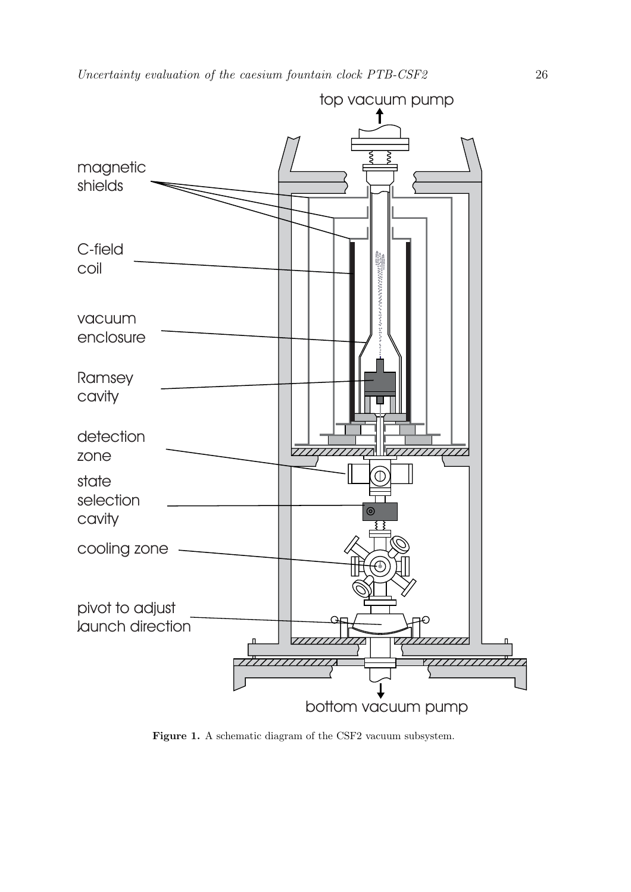

Figure 1. A schematic diagram of the CSF2 vacuum subsystem.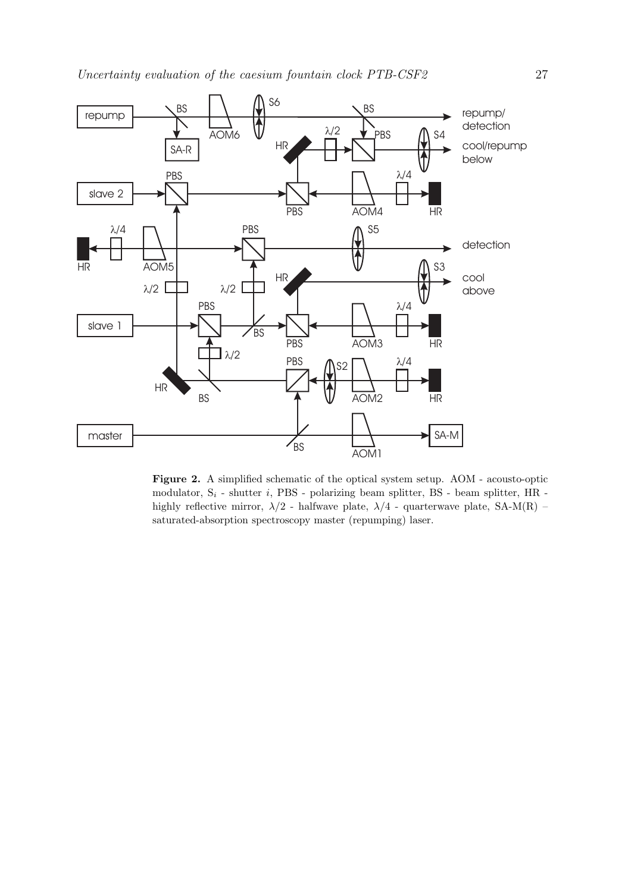Uncertainty evaluation of the caesium fountain clock PTB-CSF2 27



**Figure 2.** A simplified schematic of the optical system setup. AOM - acousto-optic modulator,  $S_i$  - shutter i, PBS - polarizing beam splitter, BS - beam splitter, HR highly reflective mirror,  $\lambda/2$  - halfwave plate,  $\lambda/4$  - quarterwave plate, SA-M(R) – saturated-absorption spectroscopy master (repumping) laser.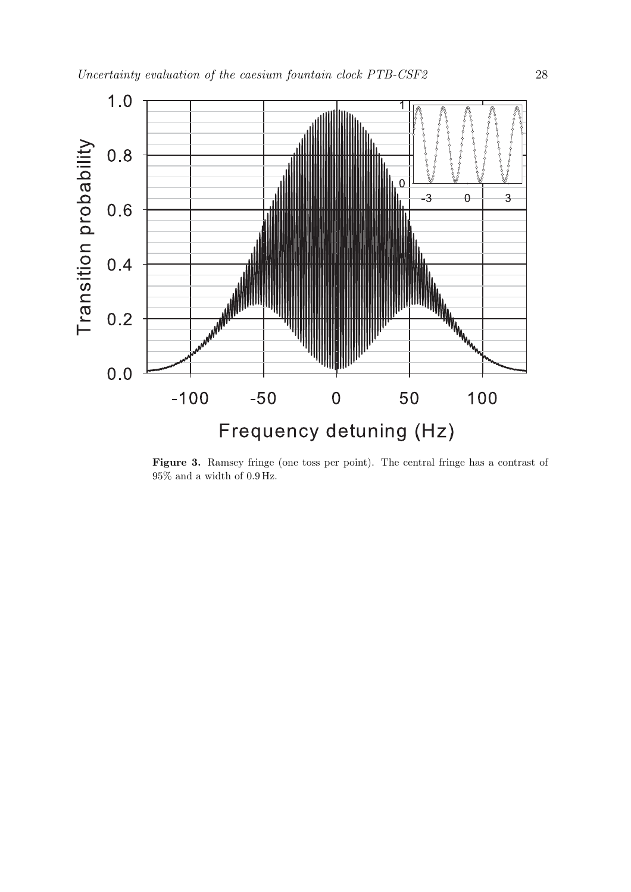

**Figure 3.** Ramsey fringe (one toss per point). The central fringe has a contrast of  $95\%$  and a width of  $0.9\,\mathrm{Hz}.$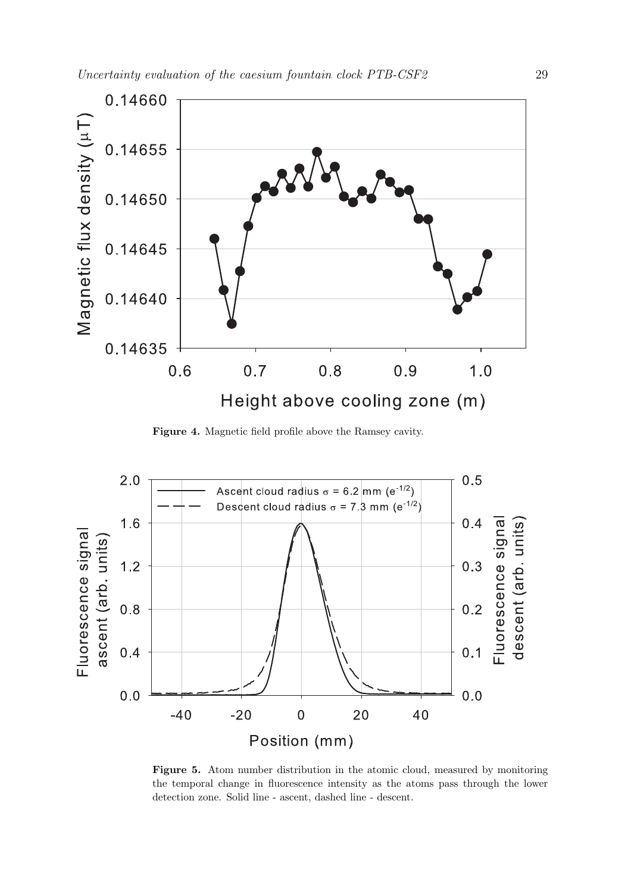

**Figure 4.** Magnetic field profile above the Ramsey cavity.



**Figure 5.** Atom number distribution in the atomic cloud, measured by monitoring the temporal change in fluorescence intensity as the atoms pass through the lower detection zone. Solid line - ascent, dashed line - descent.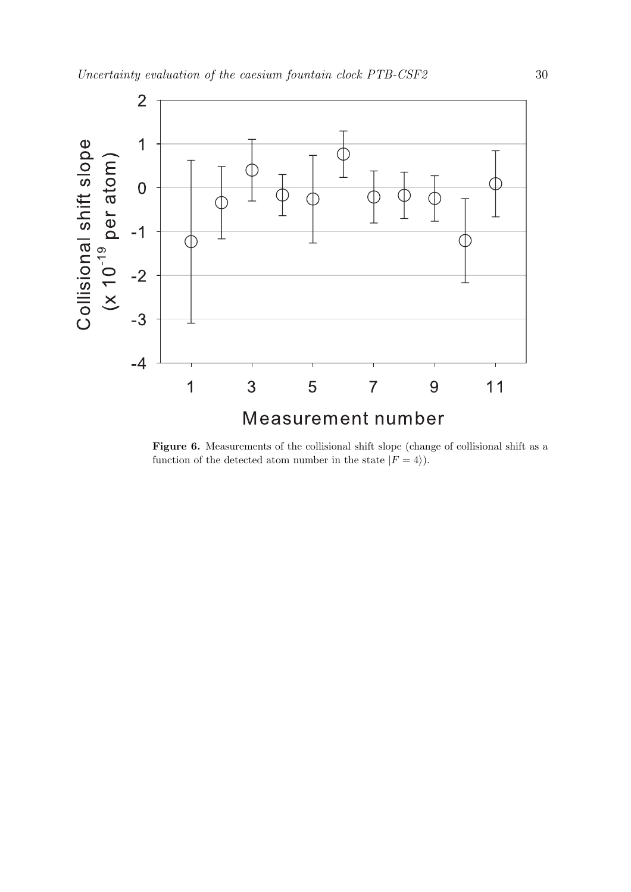

Figure 6. Measurements of the collisional shift slope (change of collisional shift as a function of the detected atom number in the state  $|F = 4\rangle$ .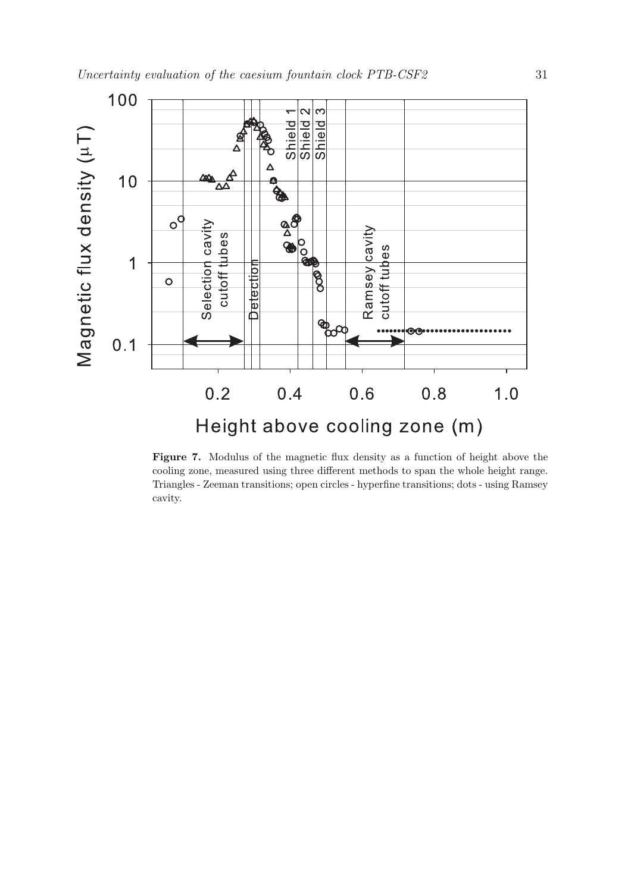

**Figure 7.** Modulus of the magnetic flux density as a function of height above the cooling zone, measured using three different methods to span the whole height range. Triangles - Zeeman transitions; open circles - hyperfine transitions; dots - using Ramsey cavity.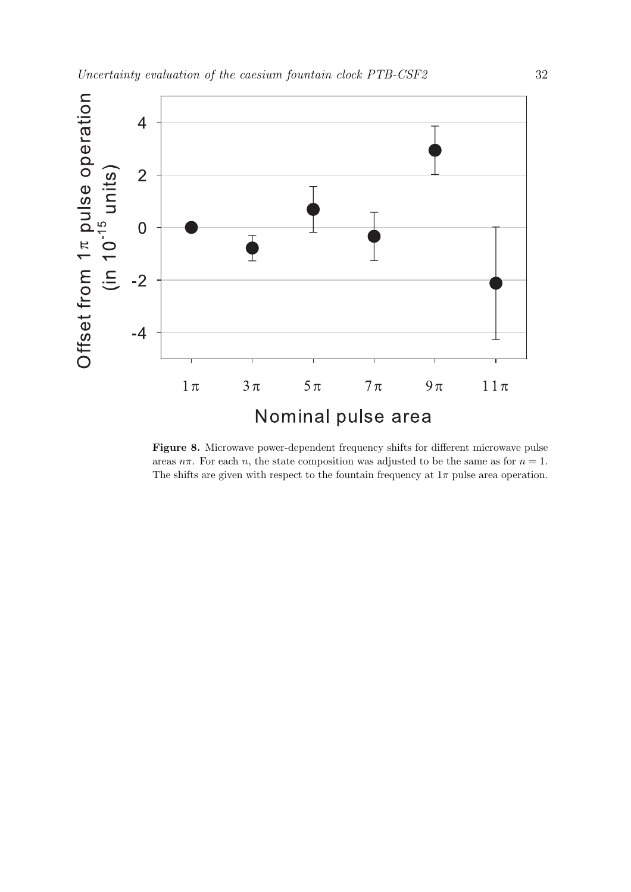

**Figure 8.** Microwave power-dependent frequency shifts for different microwave pulse areas  $n\pi$ . For each n, the state composition was adjusted to be the same as for  $n = 1$ . The shifts are given with respect to the fountain frequency at  $1\pi$  pulse area operation.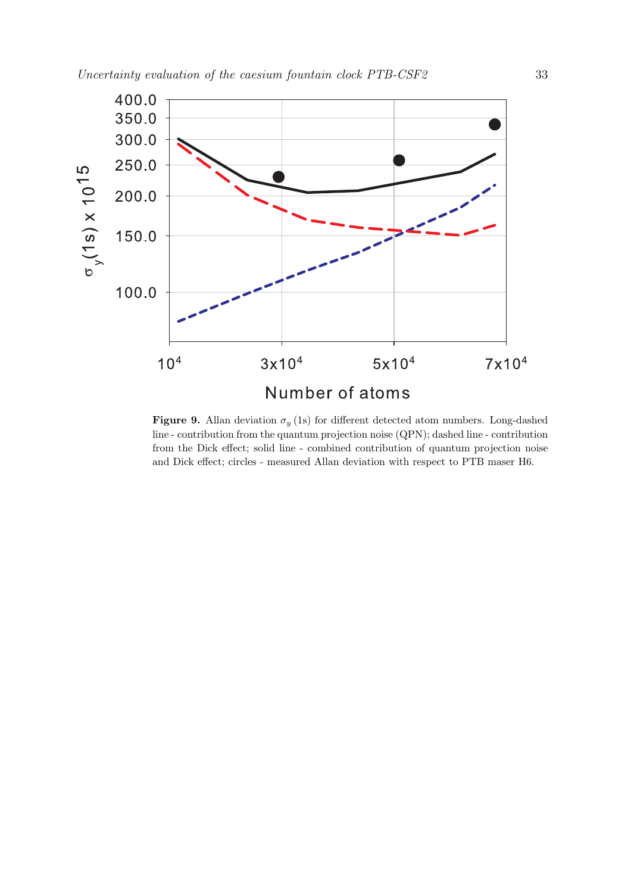

**Figure 9.** Allan deviation  $\sigma_y$  (1s) for different detected atom numbers. Long-dashed line - contribution from the quantum projection noise (QPN); dashed line - contribution from the Dick effect; solid line - combined contribution of quantum projection noise and Dick effect; circles - measured Allan deviation with respect to PTB maser H6.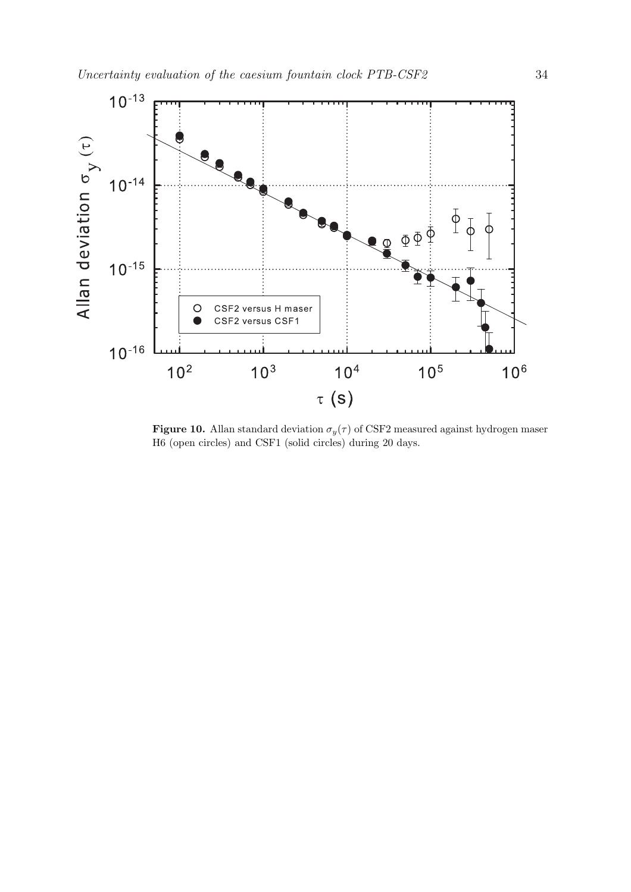

**Figure 10.** Allan standard deviation  $\sigma_y(\tau)$  of CSF2 measured against hydrogen maser H6 (open circles) and CSF1 (solid circles) during 20 days.